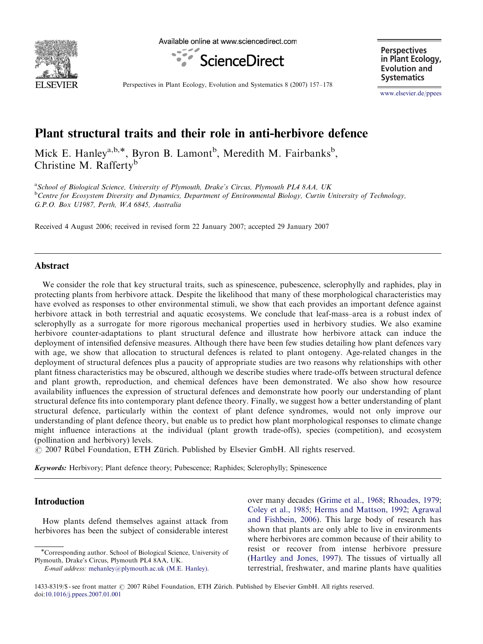

Available online at www.sciencedirect.com



**Perspectives in Plant Ecology, Evolution and Systematics**

Perspectives in Plant Ecology, Evolution and Systematics 8 (2007) 157–178

<www.elsevier.de/ppees>

# Plant structural traits and their role in anti-herbivore defence

Mick E. Hanley<sup>a,b,\*</sup>, Byron B. Lamont<sup>b</sup>, Meredith M. Fairbanks<sup>b</sup>, Christine M. Rafferty<sup>b</sup>

<sup>a</sup> School of Biological Science, University of Plymouth, Drake's Circus, Plymouth PL4 8AA, UK <sup>b</sup>Centre for Ecosystem Diversity and Dynamics, Department of Environmental Biology, Curtin University of Technology, G.P.O. Box U1987, Perth, WA 6845, Australia

Received 4 August 2006; received in revised form 22 January 2007; accepted 29 January 2007

## Abstract

We consider the role that key structural traits, such as spinescence, pubescence, sclerophylly and raphides, play in protecting plants from herbivore attack. Despite the likelihood that many of these morphological characteristics may have evolved as responses to other environmental stimuli, we show that each provides an important defence against herbivore attack in both terrestrial and aquatic ecosystems. We conclude that leaf-mass–area is a robust index of sclerophylly as a surrogate for more rigorous mechanical properties used in herbivory studies. We also examine herbivore counter-adaptations to plant structural defence and illustrate how herbivore attack can induce the deployment of intensified defensive measures. Although there have been few studies detailing how plant defences vary with age, we show that allocation to structural defences is related to plant ontogeny. Age-related changes in the deployment of structural defences plus a paucity of appropriate studies are two reasons why relationships with other plant fitness characteristics may be obscured, although we describe studies where trade-offs between structural defence and plant growth, reproduction, and chemical defences have been demonstrated. We also show how resource availability influences the expression of structural defences and demonstrate how poorly our understanding of plant structural defence fits into contemporary plant defence theory. Finally, we suggest how a better understanding of plant structural defence, particularly within the context of plant defence syndromes, would not only improve our understanding of plant defence theory, but enable us to predict how plant morphological responses to climate change might influence interactions at the individual (plant growth trade-offs), species (competition), and ecosystem (pollination and herbivory) levels.

© 2007 Rübel Foundation, ETH Zürich. Published by Elsevier GmbH. All rights reserved.

Keywords: Herbivory; Plant defence theory; Pubescence; Raphides; Sclerophylly; Spinescence

# Introduction

How plants defend themselves against attack from herbivores has been the subject of considerable interest

E-mail address: [mehanley@plymouth.ac.uk \(M.E. Hanley\).](mailto:mehanley@plymouth.ac.uk)

over many decades [\(Grime et al., 1968](#page-17-0); [Rhoades, 1979;](#page-20-0) [Coley et al., 1985;](#page-16-0) [Herms and Mattson, 1992](#page-18-0); [Agrawal](#page-16-0) [and Fishbein, 2006\)](#page-16-0). This large body of research has shown that plants are only able to live in environments where herbivores are common because of their ability to resist or recover from intense herbivore pressure ([Hartley and Jones, 1997](#page-18-0)). The tissues of virtually all terrestrial, freshwater, and marine plants have qualities

<sup>-</sup>Corresponding author. School of Biological Science, University of Plymouth, Drake's Circus, Plymouth PL4 8AA, UK.

<sup>1433-8319/\$ -</sup> see front matter  $\odot$  2007 Rübel Foundation, ETH Zürich. Published by Elsevier GmbH. All rights reserved. doi:[10.1016/j.ppees.2007.01.001](dx.doi.org/10.1016/j.ppees.2007.01.001)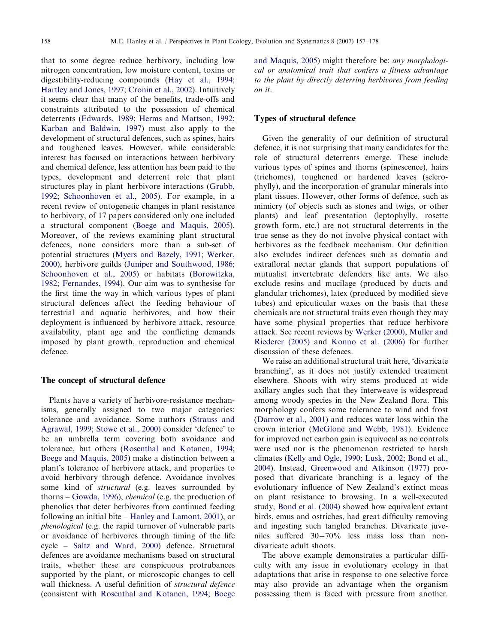that to some degree reduce herbivory, including low nitrogen concentration, low moisture content, toxins or digestibility-reducing compounds [\(Hay et al., 1994](#page-18-0); [Hartley and Jones, 1997](#page-18-0); [Cronin et al., 2002](#page-17-0)). Intuitively it seems clear that many of the benefits, trade-offs and constraints attributed to the possession of chemical deterrents [\(Edwards, 1989;](#page-17-0) [Herms and Mattson, 1992](#page-18-0); [Karban and Baldwin, 1997\)](#page-18-0) must also apply to the development of structural defences, such as spines, hairs and toughened leaves. However, while considerable interest has focused on interactions between herbivory and chemical defence, less attention has been paid to the types, development and deterrent role that plant structures play in plant–herbivore interactions [\(Grubb,](#page-18-0) [1992;](#page-18-0) [Schoonhoven et al., 2005](#page-20-0)). For example, in a recent review of ontogenetic changes in plant resistance to herbivory, of 17 papers considered only one included a structural component [\(Boege and Maquis, 2005\)](#page-16-0). Moreover, of the reviews examining plant structural defences, none considers more than a sub-set of potential structures [\(Myers and Bazely, 1991](#page-19-0); [Werker,](#page-21-0) [2000\)](#page-21-0), herbivore guilds ([Juniper and Southwood, 1986](#page-18-0); [Schoonhoven et al., 2005](#page-20-0)) or habitats [\(Borowitzka,](#page-16-0) [1982;](#page-16-0) [Fernandes, 1994](#page-17-0)). Our aim was to synthesise for the first time the way in which various types of plant structural defences affect the feeding behaviour of terrestrial and aquatic herbivores, and how their deployment is influenced by herbivore attack, resource availability, plant age and the conflicting demands imposed by plant growth, reproduction and chemical defence.

#### The concept of structural defence

Plants have a variety of herbivore-resistance mechanisms, generally assigned to two major categories: tolerance and avoidance. Some authors [\(Strauss and](#page-21-0) [Agrawal, 1999;](#page-21-0) [Stowe et al., 2000](#page-21-0)) consider 'defence' to be an umbrella term covering both avoidance and tolerance, but others ([Rosenthal and Kotanen, 1994](#page-20-0); [Boege and Maquis, 2005](#page-16-0)) make a distinction between a plant's tolerance of herbivore attack, and properties to avoid herbivory through defence. Avoidance involves some kind of structural (e.g. leaves surrounded by thorns – [Gowda, 1996\)](#page-17-0), chemical (e.g. the production of phenolics that deter herbivores from continued feeding following an initial bite – [Hanley and Lamont, 2001\)](#page-18-0), or phenological (e.g. the rapid turnover of vulnerable parts or avoidance of herbivores through timing of the life cycle – [Saltz and Ward, 2000](#page-20-0)) defence. Structural defences are avoidance mechanisms based on structural traits, whether these are conspicuous protrubances supported by the plant, or microscopic changes to cell wall thickness. A useful definition of structural defence (consistent with [Rosenthal and Kotanen, 1994;](#page-20-0) [Boege](#page-16-0) [and Maquis, 2005\)](#page-16-0) might therefore be: any morphological or anatomical trait that confers a fitness advantage to the plant by directly deterring herbivores from feeding on it.

#### Types of structural defence

Given the generality of our definition of structural defence, it is not surprising that many candidates for the role of structural deterrents emerge. These include various types of spines and thorns (spinescence), hairs (trichomes), toughened or hardened leaves (sclerophylly), and the incorporation of granular minerals into plant tissues. However, other forms of defence, such as mimicry (of objects such as stones and twigs, or other plants) and leaf presentation (leptophylly, rosette growth form, etc.) are not structural deterrents in the true sense as they do not involve physical contact with herbivores as the feedback mechanism. Our definition also excludes indirect defences such as domatia and extrafloral nectar glands that support populations of mutualist invertebrate defenders like ants. We also exclude resins and mucilage (produced by ducts and glandular trichomes), latex (produced by modified sieve tubes) and epicuticular waxes on the basis that these chemicals are not structural traits even though they may have some physical properties that reduce herbivore attack. See recent reviews by [Werker \(2000\),](#page-21-0) [Muller and](#page-19-0) [Riederer \(2005\)](#page-19-0) and [Konno et al. \(2006\)](#page-18-0) for further discussion of these defences.

We raise an additional structural trait here, 'divaricate branching', as it does not justify extended treatment elsewhere. Shoots with wiry stems produced at wide axillary angles such that they interweave is widespread among woody species in the New Zealand flora. This morphology confers some tolerance to wind and frost ([Darrow et al., 2001](#page-17-0)) and reduces water loss within the crown interior ([McGlone and Webb, 1981](#page-19-0)). Evidence for improved net carbon gain is equivocal as no controls were used nor is the phenomenon restricted to harsh climates [\(Kelly and Ogle, 1990;](#page-18-0) [Lusk, 2002](#page-19-0); [Bond et al.,](#page-16-0) [2004\)](#page-16-0). Instead, [Greenwood and Atkinson \(1977\)](#page-17-0) proposed that divaricate branching is a legacy of the evolutionary influence of New Zealand's extinct moas on plant resistance to browsing. In a well-executed study, [Bond et al. \(2004\)](#page-16-0) showed how equivalent extant birds, emus and ostriches, had great difficulty removing and ingesting such tangled branches. Divaricate juveniles suffered 30-70% less mass loss than nondivaricate adult shoots.

The above example demonstrates a particular difficulty with any issue in evolutionary ecology in that adaptations that arise in response to one selective force may also provide an advantage when the organism possessing them is faced with pressure from another.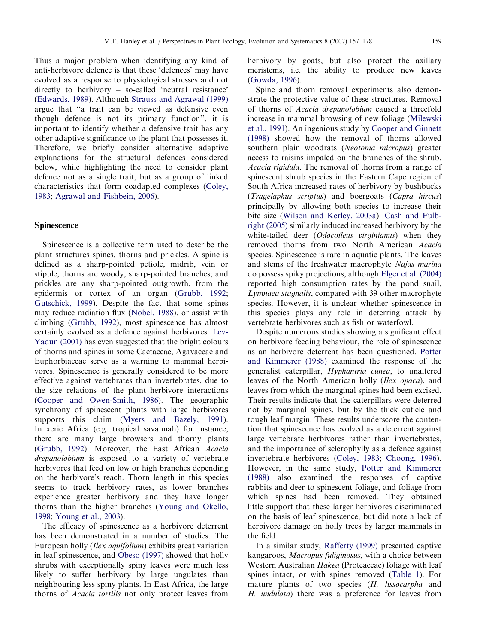Thus a major problem when identifying any kind of anti-herbivore defence is that these 'defences' may have evolved as a response to physiological stresses and not directly to herbivory – so-called 'neutral resistance' ([Edwards, 1989](#page-17-0)). Although [Strauss and Agrawal \(1999\)](#page-21-0) argue that ''a trait can be viewed as defensive even though defence is not its primary function'', it is important to identify whether a defensive trait has any other adaptive significance to the plant that possesses it. Therefore, we briefly consider alternative adaptive explanations for the structural defences considered below, while highlighting the need to consider plant defence not as a single trait, but as a group of linked characteristics that form coadapted complexes [\(Coley,](#page-16-0) [1983](#page-16-0); [Agrawal and Fishbein, 2006](#page-16-0)).

#### **Spinescence**

Spinescence is a collective term used to describe the plant structures spines, thorns and prickles. A spine is defined as a sharp-pointed petiole, midrib, vein or stipule; thorns are woody, sharp-pointed branches; and prickles are any sharp-pointed outgrowth, from the epidermis or cortex of an organ ([Grubb, 1992;](#page-18-0) [Gutschick, 1999](#page-18-0)). Despite the fact that some spines may reduce radiation flux ([Nobel, 1988](#page-19-0)), or assist with climbing [\(Grubb, 1992\)](#page-18-0), most spinescence has almost certainly evolved as a defence against herbivores. [Lev-](#page-19-0)[Yadun \(2001\)](#page-19-0) has even suggested that the bright colours of thorns and spines in some Cactaceae, Agavaceae and Euphorbiaceae serve as a warning to mammal herbivores. Spinescence is generally considered to be more effective against vertebrates than invertebrates, due to the size relations of the plant–herbivore interactions ([Cooper and Owen-Smith, 1986](#page-17-0)). The geographic synchrony of spinescent plants with large herbivores supports this claim ([Myers and Bazely, 1991\)](#page-19-0). In xeric Africa (e.g. tropical savannah) for instance, there are many large browsers and thorny plants ([Grubb, 1992\)](#page-18-0). Moreover, the East African Acacia drepanolobium is exposed to a variety of vertebrate herbivores that feed on low or high branches depending on the herbivore's reach. Thorn length in this species seems to track herbivory rates, as lower branches experience greater herbivory and they have longer thorns than the higher branches [\(Young and Okello,](#page-21-0) [1998](#page-21-0); [Young et al., 2003](#page-21-0)).

The efficacy of spinescence as a herbivore deterrent has been demonstrated in a number of studies. The European holly (Ilex aquifolium) exhibits great variation in leaf spinescence, and [Obeso \(1997\)](#page-19-0) showed that holly shrubs with exceptionally spiny leaves were much less likely to suffer herbivory by large ungulates than neighbouring less spiny plants. In East Africa, the large thorns of Acacia tortilis not only protect leaves from herbivory by goats, but also protect the axillary meristems, i.e. the ability to produce new leaves ([Gowda, 1996](#page-17-0)).

Spine and thorn removal experiments also demonstrate the protective value of these structures. Removal of thorns of Acacia drepanolobium caused a threefold increase in mammal browsing of new foliage ([Milewski](#page-19-0) [et al., 1991\)](#page-19-0). An ingenious study by [Cooper and Ginnett](#page-17-0) [\(1998\)](#page-17-0) showed how the removal of thorns allowed southern plain woodrats (Neotoma micropus) greater access to raisins impaled on the branches of the shrub, Acacia rigidula. The removal of thorns from a range of spinescent shrub species in the Eastern Cape region of South Africa increased rates of herbivory by bushbucks (Tragelaphus scriptus) and boergoats (Capra hircus) principally by allowing both species to increase their bite size ([Wilson and Kerley, 2003a](#page-21-0)). [Cash and Fulb](#page-16-0)[right \(2005\)](#page-16-0) similarly induced increased herbivory by the white-tailed deer (*Odocoileus virginianus*) when they removed thorns from two North American Acacia species. Spinescence is rare in aquatic plants. The leaves and stems of the freshwater macrophyte Najas marina do possess spiky projections, although [Elger et al. \(2004\)](#page-17-0) reported high consumption rates by the pond snail, Lymnaea stagnalis, compared with 39 other macrophyte species. However, it is unclear whether spinescence in this species plays any role in deterring attack by vertebrate herbivores such as fish or waterfowl.

Despite numerous studies showing a significant effect on herbivore feeding behaviour, the role of spinescence as an herbivore deterrent has been questioned. [Potter](#page-20-0) [and Kimmerer \(1988\)](#page-20-0) examined the response of the generalist caterpillar, Hyphantria cunea, to unaltered leaves of the North American holly (Ilex opaca), and leaves from which the marginal spines had been excised. Their results indicate that the caterpillars were deterred not by marginal spines, but by the thick cuticle and tough leaf margin. These results underscore the contention that spinescence has evolved as a deterrent against large vertebrate herbivores rather than invertebrates, and the importance of sclerophylly as a defence against invertebrate herbivores [\(Coley, 1983](#page-16-0); [Choong, 1996\)](#page-16-0). However, in the same study, [Potter and Kimmerer](#page-20-0) [\(1988\)](#page-20-0) also examined the responses of captive rabbits and deer to spinescent foliage, and foliage from which spines had been removed. They obtained little support that these larger herbivores discriminated on the basis of leaf spinescence, but did note a lack of herbivore damage on holly trees by larger mammals in the field.

In a similar study, [Rafferty \(1999\)](#page-20-0) presented captive kangaroos, Macropus fuliginosus, with a choice between Western Australian Hakea (Proteaceae) foliage with leaf spines intact, or with spines removed [\(Table 1](#page-3-0)). For mature plants of two species (H. lissocarpha and H. undulata) there was a preference for leaves from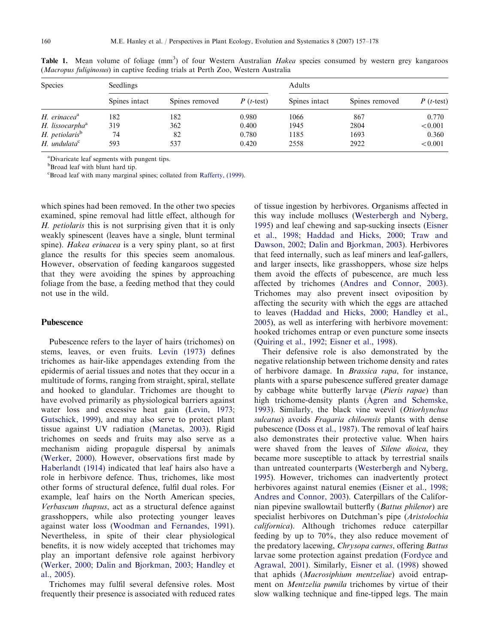| <b>Species</b>               | Seedlings     |                |             | Adults        |                |             |
|------------------------------|---------------|----------------|-------------|---------------|----------------|-------------|
|                              | Spines intact | Spines removed | $P(t-test)$ | Spines intact | Spines removed | $P(t-test)$ |
| $H.$ erinacea $a^a$          | 182           | 182            | 0.980       | 1066          | 867            | 0.770       |
| H. lissocarpha <sup>a</sup>  | 319           | 362            | 0.400       | 1945          | 2804           | < 0.001     |
| H. petiolaris <sup>b</sup>   | 74            | 82             | 0.780       | 1185          | 1693           | 0.360       |
| $H.$ undulata $\mathfrak{c}$ | 593           | 537            | 0.420       | 2558          | 2922           | < 0.001     |

<span id="page-3-0"></span>Table 1. Mean volume of foliage (mm<sup>3</sup>) of four Western Australian Hakea species consumed by western grey kangaroos (Macropus fuliginosus) in captive feeding trials at Perth Zoo, Western Australia

<sup>a</sup>Divaricate leaf segments with pungent tips.

<sup>b</sup>Broad leaf with blunt hard tip.

c Broad leaf with many marginal spines; collated from [Rafferty, \(1999\)](#page-20-0).

which spines had been removed. In the other two species examined, spine removal had little effect, although for H. petiolaris this is not surprising given that it is only weakly spinescent (leaves have a single, blunt terminal spine). *Hakea erinacea* is a very spiny plant, so at first glance the results for this species seem anomalous. However, observation of feeding kangaroos suggested that they were avoiding the spines by approaching foliage from the base, a feeding method that they could not use in the wild.

#### Pubescence

Pubescence refers to the layer of hairs (trichomes) on stems, leaves, or even fruits. [Levin \(1973\)](#page-19-0) defines trichomes as hair-like appendages extending from the epidermis of aerial tissues and notes that they occur in a multitude of forms, ranging from straight, spiral, stellate and hooked to glandular. Trichomes are thought to have evolved primarily as physiological barriers against water loss and excessive heat gain [\(Levin, 1973](#page-19-0); [Gutschick, 1999\)](#page-18-0), and may also serve to protect plant tissue against UV radiation ([Manetas, 2003\)](#page-19-0). Rigid trichomes on seeds and fruits may also serve as a mechanism aiding propagule dispersal by animals ([Werker, 2000](#page-21-0)). However, observations first made by [Haberlandt \(1914\)](#page-18-0) indicated that leaf hairs also have a role in herbivore defence. Thus, trichomes, like most other forms of structural defence, fulfil dual roles. For example, leaf hairs on the North American species, Verbascum thapsus, act as a structural defence against grasshoppers, while also protecting younger leaves against water loss ([Woodman and Fernandes, 1991\)](#page-21-0). Nevertheless, in spite of their clear physiological benefits, it is now widely accepted that trichomes may play an important defensive role against herbivory ([Werker, 2000](#page-21-0); [Dalin and Bjorkman, 2003;](#page-17-0) [Handley et](#page-18-0) [al., 2005](#page-18-0)).

Trichomes may fulfil several defensive roles. Most frequently their presence is associated with reduced rates

of tissue ingestion by herbivores. Organisms affected in this way include molluscs ([Westerbergh and Nyberg,](#page-21-0) [1995\)](#page-21-0) and leaf chewing and sap-sucking insects ([Eisner](#page-17-0) [et al., 1998](#page-17-0); [Haddad and Hicks, 2000](#page-18-0); [Traw and](#page-21-0) [Dawson, 2002;](#page-21-0) [Dalin and Bjorkman, 2003](#page-17-0)). Herbivores that feed internally, such as leaf miners and leaf-gallers, and larger insects, like grasshoppers, whose size helps them avoid the effects of pubescence, are much less affected by trichomes [\(Andres and Connor, 2003\)](#page-16-0). Trichomes may also prevent insect oviposition by affecting the security with which the eggs are attached to leaves [\(Haddad and Hicks, 2000;](#page-18-0) [Handley et al.,](#page-18-0) [2005\)](#page-18-0), as well as interfering with herbivore movement: hooked trichomes entrap or even puncture some insects ([Quiring et al., 1992;](#page-20-0) [Eisner et al., 1998](#page-17-0)).

Their defensive role is also demonstrated by the negative relationship between trichome density and rates of herbivore damage. In Brassica rapa, for instance, plants with a sparse pubescence suffered greater damage by cabbage white butterfly larvae (Pieris rapae) than high trichome-density plants ([Agren and Schemske,](#page-16-0) [1993\)](#page-16-0). Similarly, the black vine weevil (Otiorhynchus sulcatus) avoids Fragaria chiloensis plants with dense pubescence [\(Doss et al., 1987](#page-17-0)). The removal of leaf hairs also demonstrates their protective value. When hairs were shaved from the leaves of Silene dioica, they became more susceptible to attack by terrestrial snails than untreated counterparts [\(Westerbergh and Nyberg,](#page-21-0) [1995\)](#page-21-0). However, trichomes can inadvertently protect herbivores against natural enemies [\(Eisner et al., 1998](#page-17-0); [Andres and Connor, 2003\)](#page-16-0). Caterpillars of the Californian pipevine swallowtail butterfly (Battus philenor) are specialist herbivores on Dutchman's pipe (Aristolochia californica). Although trichomes reduce caterpillar feeding by up to 70%, they also reduce movement of the predatory lacewing, Chrysopa carnes, offering Battus larvae some protection against predation ([Fordyce and](#page-17-0) [Agrawal, 2001\)](#page-17-0). Similarly, [Eisner et al. \(1998\)](#page-17-0) showed that aphids (Macrosiphium mentzeliae) avoid entrapment on Mentzelia pumila trichomes by virtue of their slow walking technique and fine-tipped legs. The main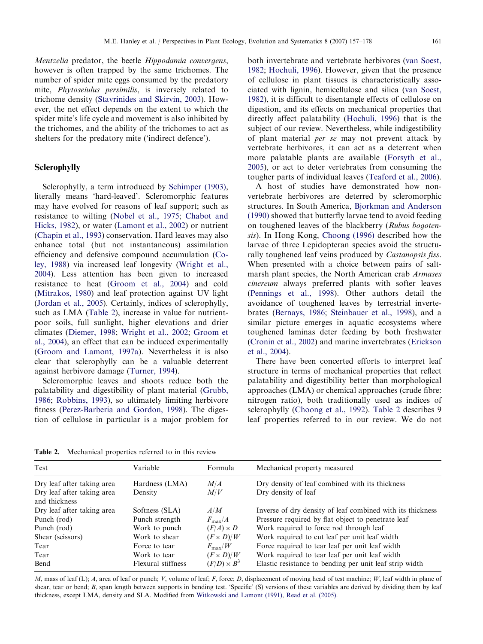<span id="page-4-0"></span>Mentzelia predator, the beetle Hippodamia convergens, however is often trapped by the same trichomes. The number of spider mite eggs consumed by the predatory mite, Phytoseiulus persimilis, is inversely related to trichome density ([Stavrinides and Skirvin, 2003\)](#page-20-0). However, the net effect depends on the extent to which the spider mite's life cycle and movement is also inhibited by the trichomes, and the ability of the trichomes to act as shelters for the predatory mite ('indirect defence').

#### Sclerophylly

Sclerophylly, a term introduced by [Schimper \(1903\),](#page-20-0) literally means 'hard-leaved'. Scleromorphic features may have evolved for reasons of leaf support; such as resistance to wilting ([Nobel et al., 1975](#page-19-0); [Chabot and](#page-16-0) [Hicks, 1982\)](#page-16-0), or water ([Lamont et al., 2002\)](#page-19-0) or nutrient ([Chapin et al., 1993\)](#page-16-0) conservation. Hard leaves may also enhance total (but not instantaneous) assimilation efficiency and defensive compound accumulation ([Co](#page-16-0)[ley, 1988](#page-16-0)) via increased leaf longevity ([Wright et al.,](#page-21-0) [2004](#page-21-0)). Less attention has been given to increased resistance to heat ([Groom et al., 2004\)](#page-17-0) and cold ([Mitrakos, 1980](#page-19-0)) and leaf protection against UV light ([Jordan et al., 2005](#page-18-0)). Certainly, indices of sclerophylly, such as LMA (Table 2), increase in value for nutrientpoor soils, full sunlight, higher elevations and drier climates [\(Diemer, 1998;](#page-17-0) [Wright et al., 2002](#page-21-0); [Groom et](#page-17-0) [al., 2004](#page-17-0)), an effect that can be induced experimentally ([Groom and Lamont, 1997a\)](#page-17-0). Nevertheless it is also clear that sclerophylly can be a valuable deterrent against herbivore damage ([Turner, 1994\)](#page-21-0).

Scleromorphic leaves and shoots reduce both the palatability and digestibility of plant material [\(Grubb,](#page-17-0) [1986](#page-17-0); [Robbins, 1993\)](#page-20-0), so ultimately limiting herbivore fitness ([Perez-Barberia and Gordon, 1998\)](#page-20-0). The digestion of cellulose in particular is a major problem for both invertebrate and vertebrate herbivores [\(van Soest,](#page-21-0) [1982](#page-21-0); [Hochuli, 1996\)](#page-18-0). However, given that the presence of cellulose in plant tissues is characteristically associated with lignin, hemicellulose and silica ([van Soest,](#page-21-0) [1982](#page-21-0)), it is difficult to disentangle effects of cellulose on digestion, and its effects on mechanical properties that directly affect palatability ([Hochuli, 1996\)](#page-18-0) that is the subject of our review. Nevertheless, while indigestibility of plant material per se may not prevent attack by vertebrate herbivores, it can act as a deterrent when more palatable plants are available ([Forsyth et al.,](#page-17-0) [2005](#page-17-0)), or act to deter vertebrates from consuming the tougher parts of individual leaves ([Teaford et al., 2006\)](#page-21-0).

A host of studies have demonstrated how nonvertebrate herbivores are deterred by scleromorphic structures. In South America, [Bjorkman and Anderson](#page-16-0) [\(1990\)](#page-16-0) showed that butterfly larvae tend to avoid feeding on toughened leaves of the blackberry (Rubus bogotensis). In Hong Kong, [Choong \(1996\)](#page-16-0) described how the larvae of three Lepidopteran species avoid the structurally toughened leaf veins produced by Castanopsis fiss. When presented with a choice between pairs of saltmarsh plant species, the North American crab Armases cinereum always preferred plants with softer leaves ([Pennings et al., 1998](#page-20-0)). Other authors detail the avoidance of toughened leaves by terrestrial invertebrates [\(Bernays, 1986;](#page-16-0) [Steinbauer et al., 1998](#page-21-0)), and a similar picture emerges in aquatic ecosystems where toughened laminas deter feeding by both freshwater ([Cronin et al., 2002](#page-17-0)) and marine invertebrates ([Erickson](#page-17-0) [et al., 2004\)](#page-17-0).

There have been concerted efforts to interpret leaf structure in terms of mechanical properties that reflect palatability and digestibility better than morphological approaches (LMA) or chemical approaches (crude fibre: nitrogen ratio), both traditionally used as indices of sclerophylly ([Choong et al., 1992](#page-16-0)). Table 2 describes 9 leaf properties referred to in our review. We do not

Table 2. Mechanical properties referred to in this review

| Test                                                     | Variable                  | Formula            | Mechanical property measured                                           |
|----------------------------------------------------------|---------------------------|--------------------|------------------------------------------------------------------------|
| Dry leaf after taking area<br>Dry leaf after taking area | Hardness (LMA)<br>Density | M/A<br>M/V         | Dry density of leaf combined with its thickness<br>Dry density of leaf |
| and thickness                                            |                           |                    |                                                                        |
| Dry leaf after taking area                               | Softness (SLA)            | A/M                | Inverse of dry density of leaf combined with its thickness             |
| Punch (rod)                                              | Punch strength            | $F_{\rm max}/A$    | Pressure required by flat object to penetrate leaf                     |
| Punch (rod)                                              | Work to punch             | $(F/A) \times D$   | Work required to force rod through leaf                                |
| Shear (scissors)                                         | Work to shear             | $(F \times D)/W$   | Work required to cut leaf per unit leaf width                          |
| Tear                                                     | Force to tear             | $F_{\rm max}/W$    | Force required to tear leaf per unit leaf width                        |
| Tear                                                     | Work to tear              | $(F \times D)/W$   | Work required to tear leaf per unit leaf width                         |
| Bend                                                     | Flexural stiffness        | $(F/D) \times B^3$ | Elastic resistance to bending per unit leaf strip width                |

M, mass of leaf (L); A, area of leaf or punch; V, volume of leaf; F, force; D, displacement of moving head of test machine; W, leaf width in plane of shear, tear or bend; B, span length between supports in bending test. 'Specific' (S) versions of these variables are derived by dividing them by leaf thickness, except LMA, density and SLA. Modified from [Witkowski and Lamont \(1991\)](#page-21-0), [Read et al. \(2005\).](#page-20-0)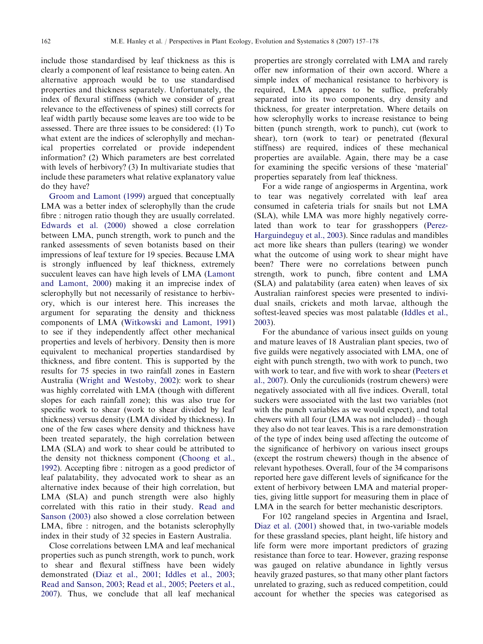include those standardised by leaf thickness as this is clearly a component of leaf resistance to being eaten. An alternative approach would be to use standardised properties and thickness separately. Unfortunately, the index of flexural stiffness (which we consider of great relevance to the effectiveness of spines) still corrects for leaf width partly because some leaves are too wide to be assessed. There are three issues to be considered: (1) To what extent are the indices of sclerophylly and mechanical properties correlated or provide independent information? (2) Which parameters are best correlated with levels of herbivory? (3) In multivariate studies that include these parameters what relative explanatory value do they have?

[Groom and Lamont \(1999\)](#page-17-0) argued that conceptually LMA was a better index of sclerophylly than the crude fibre : nitrogen ratio though they are usually correlated. [Edwards et al. \(2000\)](#page-17-0) showed a close correlation between LMA, punch strength, work to punch and the ranked assessments of seven botanists based on their impressions of leaf texture for 19 species. Because LMA is strongly influenced by leaf thickness, extremely succulent leaves can have high levels of LMA ([Lamont](#page-19-0) [and Lamont, 2000](#page-19-0)) making it an imprecise index of sclerophylly but not necessarily of resistance to herbivory, which is our interest here. This increases the argument for separating the density and thickness components of LMA [\(Witkowski and Lamont, 1991](#page-21-0)) to see if they independently affect other mechanical properties and levels of herbivory. Density then is more equivalent to mechanical properties standardised by thickness, and fibre content. This is supported by the results for 75 species in two rainfall zones in Eastern Australia ([Wright and Westoby, 2002](#page-21-0)): work to shear was highly correlated with LMA (though with different slopes for each rainfall zone); this was also true for specific work to shear (work to shear divided by leaf thickness) versus density (LMA divided by thickness). In one of the few cases where density and thickness have been treated separately, the high correlation between LMA (SLA) and work to shear could be attributed to the density not thickness component [\(Choong et al.,](#page-16-0) [1992\)](#page-16-0). Accepting fibre : nitrogen as a good predictor of leaf palatability, they advocated work to shear as an alternative index because of their high correlation, but LMA (SLA) and punch strength were also highly correlated with this ratio in their study. [Read and](#page-20-0) [Sanson \(2003\)](#page-20-0) also showed a close correlation between LMA, fibre : nitrogen, and the botanists sclerophylly index in their study of 32 species in Eastern Australia.

Close correlations between LMA and leaf mechanical properties such as punch strength, work to punch, work to shear and flexural stiffness have been widely demonstrated ([Diaz et al., 2001;](#page-17-0) [Iddles et al., 2003](#page-18-0); [Read and Sanson, 2003;](#page-20-0) [Read et al., 2005;](#page-20-0) [Peeters et al.,](#page-20-0) [2007\)](#page-20-0). Thus, we conclude that all leaf mechanical properties are strongly correlated with LMA and rarely offer new information of their own accord. Where a simple index of mechanical resistance to herbivory is required, LMA appears to be suffice, preferably separated into its two components, dry density and thickness, for greater interpretation. Where details on how sclerophylly works to increase resistance to being bitten (punch strength, work to punch), cut (work to shear), torn (work to tear) or penetrated (flexural stiffness) are required, indices of these mechanical properties are available. Again, there may be a case for examining the specific versions of these 'material' properties separately from leaf thickness.

For a wide range of angiosperms in Argentina, work to tear was negatively correlated with leaf area consumed in cafeteria trials for snails but not LMA (SLA), while LMA was more highly negatively correlated than work to tear for grasshoppers [\(Perez-](#page-20-0)[Harguindeguy et al., 2003](#page-20-0)). Since radulas and mandibles act more like shears than pullers (tearing) we wonder what the outcome of using work to shear might have been? There were no correlations between punch strength, work to punch, fibre content and LMA (SLA) and palatability (area eaten) when leaves of six Australian rainforest species were presented to individual snails, crickets and moth larvae, although the softest-leaved species was most palatable ([Iddles et al.,](#page-18-0) [2003\)](#page-18-0).

For the abundance of various insect guilds on young and mature leaves of 18 Australian plant species, two of five guilds were negatively associated with LMA, one of eight with punch strength, two with work to punch, two with work to tear, and five with work to shear ([Peeters et](#page-20-0) [al., 2007\)](#page-20-0). Only the curculionids (rostrum chewers) were negatively associated with all five indices. Overall, total suckers were associated with the last two variables (not with the punch variables as we would expect), and total chewers with all four (LMA was not included) – though they also do not tear leaves. This is a rare demonstration of the type of index being used affecting the outcome of the significance of herbivory on various insect groups (except the rostrum chewers) though in the absence of relevant hypotheses. Overall, four of the 34 comparisons reported here gave different levels of significance for the extent of herbivory between LMA and material properties, giving little support for measuring them in place of LMA in the search for better mechanistic descriptors.

For 102 rangeland species in Argentina and Israel, [Diaz et al. \(2001\)](#page-17-0) showed that, in two-variable models for these grassland species, plant height, life history and life form were more important predictors of grazing resistance than force to tear. However, grazing response was gauged on relative abundance in lightly versus heavily grazed pastures, so that many other plant factors unrelated to grazing, such as reduced competition, could account for whether the species was categorised as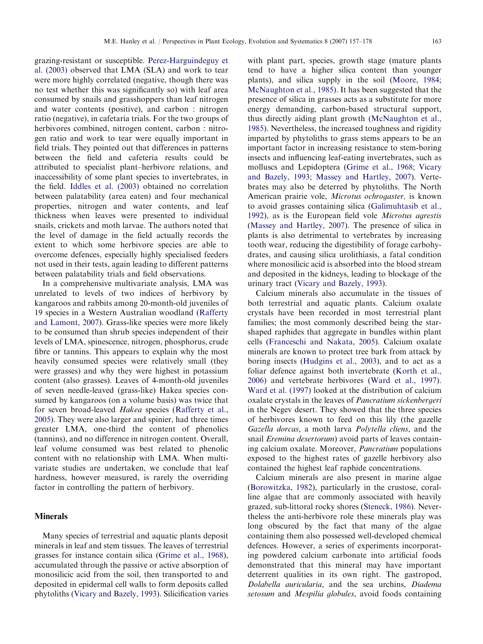grazing-resistant or susceptible. [Perez-Harguindeguy et](#page-20-0) [al. \(2003\)](#page-20-0) observed that LMA (SLA) and work to tear were more highly correlated (negative, though there was no test whether this was significantly so) with leaf area consumed by snails and grasshoppers than leaf nitrogen and water contents (positive), and carbon : nitrogen ratio (negative), in cafetaria trials. For the two groups of herbivores combined, nitrogen content, carbon : nitrogen ratio and work to tear were equally important in field trials. They pointed out that differences in patterns between the field and cafeteria results could be attributed to specialist plant–herbivore relations, and inaccessibility of some plant species to invertebrates, in the field. [Iddles et al. \(2003\)](#page-18-0) obtained no correlation between palatability (area eaten) and four mechanical properties, nitrogen and water contents, and leaf thickness when leaves were presented to individual snails, crickets and moth larvae. The authors noted that the level of damage in the field actually records the extent to which some herbivore species are able to overcome defences, especially highly specialised feeders not used in their tests, again leading to different patterns between palatability trials and field observations.

In a comprehensive multivariate analysis, LMA was unrelated to levels of two indices of herbivory by kangaroos and rabbits among 20-month-old juveniles of 19 species in a Western Australian woodland ([Rafferty](#page-20-0) [and Lamont, 2007](#page-20-0)). Grass-like species were more likely to be consumed than shrub species independent of their levels of LMA, spinescence, nitrogen, phosphorus, crude fibre or tannins. This appears to explain why the most heavily consumed species were relatively small (they were grasses) and why they were highest in potassium content (also grasses). Leaves of 4-month-old juveniles of seven needle-leaved (grass-like) Hakea species consumed by kangaroos (on a volume basis) was twice that for seven broad-leaved Hakea species [\(Rafferty et al.,](#page-20-0) [2005](#page-20-0)). They were also larger and spinier, had three times greater LMA, one-third the content of phenolics (tannins), and no difference in nitrogen content. Overall, leaf volume consumed was best related to phenolic content with no relationship with LMA. When multivariate studies are undertaken, we conclude that leaf hardness, however measured, is rarely the overriding factor in controlling the pattern of herbivory.

## Minerals

Many species of terrestrial and aquatic plants deposit minerals in leaf and stem tissues. The leaves of terrestrial grasses for instance contain silica ([Grime et al., 1968\)](#page-17-0), accumulated through the passive or active absorption of monosilicic acid from the soil, then transported to and deposited in epidermal cell walls to form deposits called phytoliths [\(Vicary and Bazely, 1993](#page-21-0)). Silicification varies with plant part, species, growth stage (mature plants tend to have a higher silica content than younger plants), and silica supply in the soil [\(Moore, 1984;](#page-19-0) [McNaughton et al., 1985](#page-19-0)). It has been suggested that the presence of silica in grasses acts as a substitute for more energy demanding, carbon-based structural support, thus directly aiding plant growth ([McNaughton et al.,](#page-19-0) [1985](#page-19-0)). Nevertheless, the increased toughness and rigidity imparted by phytoliths to grass stems appears to be an important factor in increasing resistance to stem-boring insects and influencing leaf-eating invertebrates, such as molluscs and Lepidoptera ([Grime et al., 1968](#page-17-0); [Vicary](#page-21-0) [and Bazely, 1993](#page-21-0); [Massey and Hartley, 2007](#page-19-0)). Vertebrates may also be deterred by phytoliths. The North American prairie vole, Microtus ochrogaster, is known to avoid grasses containing silica ([Galimuhtasib et al.,](#page-17-0) [1992](#page-17-0)), as is the European field vole Microtus agrestis ([Massey and Hartley, 2007](#page-19-0)). The presence of silica in plants is also detrimental to vertebrates by increasing tooth wear, reducing the digestibility of forage carbohydrates, and causing silica urolithiasis, a fatal condition where monosilicic acid is absorbed into the blood stream and deposited in the kidneys, leading to blockage of the urinary tract ([Vicary and Bazely, 1993\)](#page-21-0).

Calcium minerals also accumulate in the tissues of both terrestrial and aquatic plants. Calcium oxalate crystals have been recorded in most terrestrial plant families; the most commonly described being the starshaped raphides that aggregate in bundles within plant cells ([Franceschi and Nakata, 2005\)](#page-17-0). Calcium oxalate minerals are known to protect tree bark from attack by boring insects ([Hudgins et al., 2003\)](#page-18-0), and to act as a foliar defence against both invertebrate [\(Korth et al.,](#page-19-0) [2006](#page-19-0)) and vertebrate herbivores [\(Ward et al., 1997\)](#page-21-0). [Ward et al. \(1997\)](#page-21-0) looked at the distribution of calcium oxalate crystals in the leaves of Pancratium sickenbergeri in the Negev desert. They showed that the three species of herbivores known to feed on this lily (the gazelle Gazella dorcas, a moth larva Polytella cliens, and the snail Eremina desertorum) avoid parts of leaves containing calcium oxalate. Moreover, Pancratium populations exposed to the highest rates of gazelle herbivory also contained the highest leaf raphide concentrations.

Calcium minerals are also present in marine algae ([Borowitzka, 1982](#page-16-0)), particularly in the crustose, coralline algae that are commonly associated with heavily grazed, sub-littoral rocky shores ([Steneck, 1986\)](#page-21-0). Nevertheless the anti-herbivore role these minerals play was long obscured by the fact that many of the algae containing them also possessed well-developed chemical defences. However, a series of experiments incorporating powdered calcium carbonate into artificial foods demonstrated that this mineral may have important deterrent qualities in its own right. The gastropod, Dolabella auricularia, and the sea urchins, Diadema setosum and Mespilia globules, avoid foods containing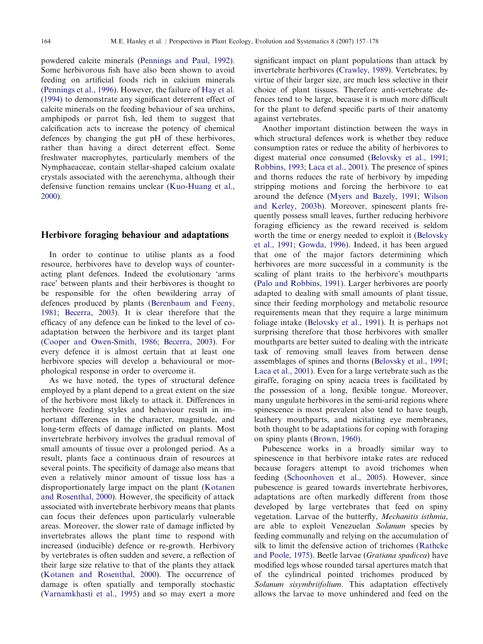powdered calcite minerals [\(Pennings and Paul, 1992\)](#page-20-0). Some herbivorous fish have also been shown to avoid feeding on artificial foods rich in calcium minerals ([Pennings et al., 1996](#page-20-0)). However, the failure of [Hay et al.](#page-18-0) [\(1994\)](#page-18-0) to demonstrate any significant deterrent effect of calcite minerals on the feeding behaviour of sea urchins, amphipods or parrot fish, led them to suggest that calcification acts to increase the potency of chemical defences by changing the gut pH of these herbivores, rather than having a direct deterrent effect. Some freshwater macrophytes, particularly members of the Nymphaeaceae, contain stellar-shaped calcium oxalate crystals associated with the aerenchyma, although their defensive function remains unclear [\(Kuo-Huang et al.,](#page-19-0) [2000\)](#page-19-0).

#### Herbivore foraging behaviour and adaptations

In order to continue to utilise plants as a food resource, herbivores have to develop ways of counteracting plant defences. Indeed the evolutionary 'arms race' between plants and their herbivores is thought to be responsible for the often bewildering array of defences produced by plants [\(Berenbaum and Feeny,](#page-16-0) [1981;](#page-16-0) [Becerra, 2003\)](#page-16-0). It is clear therefore that the efficacy of any defence can be linked to the level of coadaptation between the herbivore and its target plant ([Cooper and Owen-Smith, 1986;](#page-17-0) [Becerra, 2003](#page-16-0)). For every defence it is almost certain that at least one herbivore species will develop a behavioural or morphological response in order to overcome it.

As we have noted, the types of structural defence employed by a plant depend to a great extent on the size of the herbivore most likely to attack it. Differences in herbivore feeding styles and behaviour result in important differences in the character, magnitude, and long-term effects of damage inflicted on plants. Most invertebrate herbivory involves the gradual removal of small amounts of tissue over a prolonged period. As a result, plants face a continuous drain of resources at several points. The specificity of damage also means that even a relatively minor amount of tissue loss has a disproportionately large impact on the plant [\(Kotanen](#page-19-0) [and Rosenthal, 2000](#page-19-0)). However, the specificity of attack associated with invertebrate herbivory means that plants can focus their defences upon particularly vulnerable areas. Moreover, the slower rate of damage inflicted by invertebrates allows the plant time to respond with increased (inducible) defence or re-growth. Herbivory by vertebrates is often sudden and severe, a reflection of their large size relative to that of the plants they attack ([Kotanen and Rosenthal, 2000\)](#page-19-0). The occurrence of damage is often spatially and temporally stochastic ([Varnamkhasti et al., 1995\)](#page-21-0) and so may exert a more

significant impact on plant populations than attack by invertebrate herbivores [\(Crawley, 1989\)](#page-17-0). Vertebrates, by virtue of their larger size, are much less selective in their choice of plant tissues. Therefore anti-vertebrate defences tend to be large, because it is much more difficult for the plant to defend specific parts of their anatomy against vertebrates.

Another important distinction between the ways in which structural defences work is whether they reduce consumption rates or reduce the ability of herbivores to digest material once consumed [\(Belovsky et al., 1991](#page-16-0); [Robbins, 1993](#page-20-0); [Laca et al., 2001](#page-19-0)). The presence of spines and thorns reduces the rate of herbivory by impeding stripping motions and forcing the herbivore to eat around the defence [\(Myers and Bazely, 1991](#page-19-0); [Wilson](#page-21-0) [and Kerley, 2003b\)](#page-21-0). Moreover, spinescent plants frequently possess small leaves, further reducing herbivore foraging efficiency as the reward received is seldom worth the time or energy needed to exploit it [\(Belovsky](#page-16-0) [et al., 1991](#page-16-0); [Gowda, 1996](#page-17-0)). Indeed, it has been argued that one of the major factors determining which herbivores are more successful in a community is the scaling of plant traits to the herbivore's mouthparts ([Palo and Robbins, 1991](#page-19-0)). Larger herbivores are poorly adapted to dealing with small amounts of plant tissue, since their feeding morphology and metabolic resource requirements mean that they require a large minimum foliage intake ([Belovsky et al., 1991](#page-16-0)). It is perhaps not surprising therefore that those herbivores with smaller mouthparts are better suited to dealing with the intricate task of removing small leaves from between dense assemblages of spines and thorns ([Belovsky et al., 1991](#page-16-0); [Laca et al., 2001\)](#page-19-0). Even for a large vertebrate such as the giraffe, foraging on spiny acacia trees is facilitated by the possession of a long, flexible tongue. Moreover, many ungulate herbivores in the semi-arid regions where spinescence is most prevalent also tend to have tough, leathery mouthparts, and nicitating eye membranes, both thought to be adaptations for coping with foraging on spiny plants [\(Brown, 1960](#page-16-0)).

Pubescence works in a broadly similar way to spinescence in that herbivore intake rates are reduced because foragers attempt to avoid trichomes when feeding [\(Schoonhoven et al., 2005\)](#page-20-0). However, since pubescence is geared towards invertebrate herbivores, adaptations are often markedly different from those developed by large vertebrates that feed on spiny vegetation. Larvae of the butterfly, Mechanitis isthmia, are able to exploit Venezuelan Solanum species by feeding communally and relying on the accumulation of silk to limit the defensive action of trichomes ([Rathcke](#page-20-0) [and Poole, 1975](#page-20-0)). Beetle larvae (Gratiana spadicea) have modified legs whose rounded tarsal apertures match that of the cylindrical pointed trichomes produced by Solanum sisymbriifolium. This adaptation effectively allows the larvae to move unhindered and feed on the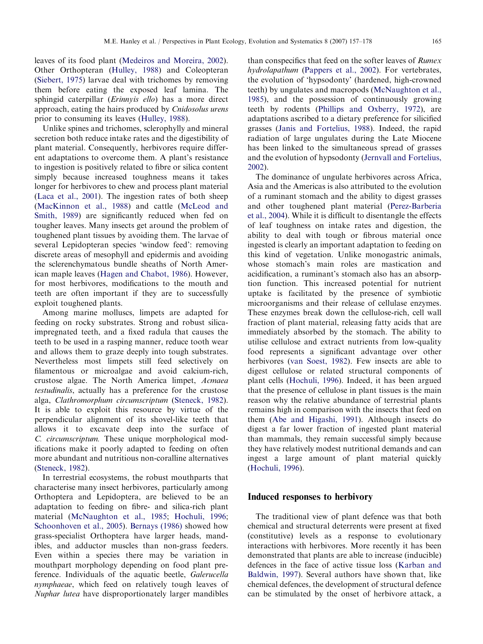leaves of its food plant [\(Medeiros and Moreira, 2002\)](#page-19-0). Other Orthopteran ([Hulley, 1988\)](#page-18-0) and Coleopteran ([Siebert, 1975\)](#page-20-0) larvae deal with trichomes by removing them before eating the exposed leaf lamina. The sphingid caterpillar (Erinnyis ello) has a more direct approach, eating the hairs produced by Cnidosolus urens prior to consuming its leaves [\(Hulley, 1988](#page-18-0)).

Unlike spines and trichomes, sclerophylly and mineral secretion both reduce intake rates and the digestibility of plant material. Consequently, herbivores require different adaptations to overcome them. A plant's resistance to ingestion is positively related to fibre or silica content simply because increased toughness means it takes longer for herbivores to chew and process plant material ([Laca et al., 2001](#page-19-0)). The ingestion rates of both sheep ([MacKinnon et al., 1988](#page-19-0)) and cattle ([McLeod and](#page-19-0) [Smith, 1989\)](#page-19-0) are significantly reduced when fed on tougher leaves. Many insects get around the problem of toughened plant tissues by avoiding them. The larvae of several Lepidopteran species 'window feed': removing discrete areas of mesophyll and epidermis and avoiding the sclerenchymatous bundle sheaths of North American maple leaves ([Hagen and Chabot, 1986](#page-18-0)). However, for most herbivores, modifications to the mouth and teeth are often important if they are to successfully exploit toughened plants.

Among marine molluscs, limpets are adapted for feeding on rocky substrates. Strong and robust silicaimpregnated teeth, and a fixed radula that causes the teeth to be used in a rasping manner, reduce tooth wear and allows them to graze deeply into tough substrates. Nevertheless most limpets still feed selectively on filamentous or microalgae and avoid calcium-rich, crustose algae. The North America limpet, Acmaea testudinalis, actually has a preference for the crustose alga, Clathromorphum circumscriptum [\(Steneck, 1982\)](#page-21-0). It is able to exploit this resource by virtue of the perpendicular alignment of its shovel-like teeth that allows it to excavate deep into the surface of C. circumscriptum. These unique morphological modifications make it poorly adapted to feeding on often more abundant and nutritious non-coralline alternatives ([Steneck, 1982\)](#page-21-0).

In terrestrial ecosystems, the robust mouthparts that characterise many insect herbivores, particularly among Orthoptera and Lepidoptera, are believed to be an adaptation to feeding on fibre- and silica-rich plant material ([McNaughton et al., 1985;](#page-19-0) [Hochuli, 1996;](#page-18-0) [Schoonhoven et al., 2005](#page-20-0)). [Bernays \(1986\)](#page-16-0) showed how grass-specialist Orthoptera have larger heads, mandibles, and adductor muscles than non-grass feeders. Even within a species there may be variation in mouthpart morphology depending on food plant preference. Individuals of the aquatic beetle, Galerucella nymphaeae, which feed on relatively tough leaves of Nuphar lutea have disproportionately larger mandibles

than conspecifics that feed on the softer leaves of Rumex hydrolapathum ([Pappers et al., 2002](#page-19-0)). For vertebrates, the evolution of 'hypsodonty' (hardened, high-crowned teeth) by ungulates and macropods ([McNaughton et al.,](#page-19-0) [1985](#page-19-0)), and the possession of continuously growing teeth by rodents ([Phillips and Oxberry, 1972\)](#page-20-0), are adaptations ascribed to a dietary preference for silicified grasses [\(Janis and Fortelius, 1988](#page-18-0)). Indeed, the rapid radiation of large ungulates during the Late Miocene has been linked to the simultaneous spread of grasses and the evolution of hypsodonty [\(Jernvall and Fortelius,](#page-18-0) [2002](#page-18-0)).

The dominance of ungulate herbivores across Africa, Asia and the Americas is also attributed to the evolution of a ruminant stomach and the ability to digest grasses and other toughened plant material [\(Perez-Barberia](#page-20-0) [et al., 2004](#page-20-0)). While it is difficult to disentangle the effects of leaf toughness on intake rates and digestion, the ability to deal with tough or fibrous material once ingested is clearly an important adaptation to feeding on this kind of vegetation. Unlike monogastric animals, whose stomach's main roles are mastication and acidification, a ruminant's stomach also has an absorption function. This increased potential for nutrient uptake is facilitated by the presence of symbiotic microorganisms and their release of cellulase enzymes. These enzymes break down the cellulose-rich, cell wall fraction of plant material, releasing fatty acids that are immediately absorbed by the stomach. The ability to utilise cellulose and extract nutrients from low-quality food represents a significant advantage over other herbivores [\(van Soest, 1982\)](#page-21-0). Few insects are able to digest cellulose or related structural components of plant cells ([Hochuli, 1996\)](#page-18-0). Indeed, it has been argued that the presence of cellulose in plant tissues is the main reason why the relative abundance of terrestrial plants remains high in comparison with the insects that feed on them ([Abe and Higashi, 1991\)](#page-16-0). Although insects do digest a far lower fraction of ingested plant material than mammals, they remain successful simply because they have relatively modest nutritional demands and can ingest a large amount of plant material quickly ([Hochuli, 1996](#page-18-0)).

## Induced responses to herbivory

The traditional view of plant defence was that both chemical and structural deterrents were present at fixed (constitutive) levels as a response to evolutionary interactions with herbivores. More recently it has been demonstrated that plants are able to increase (inducible) defences in the face of active tissue loss [\(Karban and](#page-18-0) [Baldwin, 1997\)](#page-18-0). Several authors have shown that, like chemical defences, the development of structural defence can be stimulated by the onset of herbivore attack, a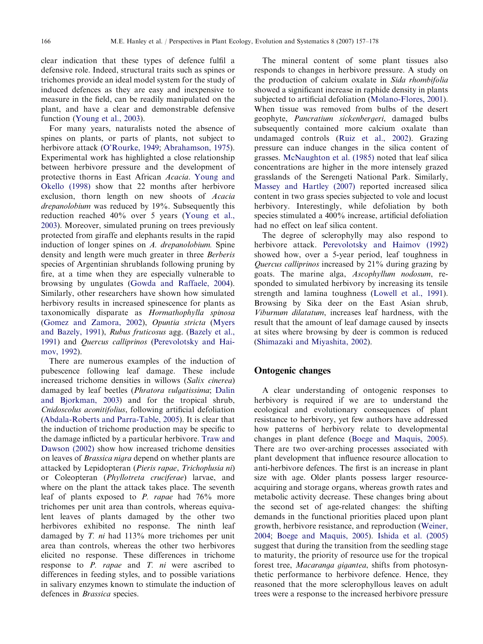clear indication that these types of defence fulfil a defensive role. Indeed, structural traits such as spines or trichomes provide an ideal model system for the study of induced defences as they are easy and inexpensive to measure in the field, can be readily manipulated on the plant, and have a clear and demonstrable defensive function [\(Young et al., 2003\)](#page-21-0).

For many years, naturalists noted the absence of spines on plants, or parts of plants, not subject to herbivore attack ([O'Rourke, 1949](#page-19-0); [Abrahamson, 1975\)](#page-16-0). Experimental work has highlighted a close relationship between herbivore pressure and the development of protective thorns in East African Acacia. [Young and](#page-21-0) [Okello \(1998\)](#page-21-0) show that 22 months after herbivore exclusion, thorn length on new shoots of Acacia drepanolobium was reduced by 19%. Subsequently this reduction reached 40% over 5 years [\(Young et al.,](#page-21-0) [2003\)](#page-21-0). Moreover, simulated pruning on trees previously protected from giraffe and elephants results in the rapid induction of longer spines on A. drepanolobium. Spine density and length were much greater in three Berberis species of Argentinian shrublands following pruning by fire, at a time when they are especially vulnerable to browsing by ungulates [\(Gowda and Raffaele, 2004\)](#page-17-0). Similarly, other researchers have shown how simulated herbivory results in increased spinescence for plants as taxonomically disparate as Hormathophylla spinosa ([Gomez and Zamora, 2002](#page-17-0)), Opuntia stricta ([Myers](#page-19-0) [and Bazely, 1991\)](#page-19-0), Rubus fruticosus agg. [\(Bazely et al.,](#page-16-0) [1991\)](#page-16-0) and Quercus calliprinos ([Perevolotsky and Hai](#page-20-0)[mov, 1992](#page-20-0)).

There are numerous examples of the induction of pubescence following leaf damage. These include increased trichome densities in willows (Salix cinerea) damaged by leaf beetles (Phratora vulgatissima; [Dalin](#page-17-0) [and Bjorkman, 2003](#page-17-0)) and for the tropical shrub, Cnidoscolus aconitifolius, following artificial defoliation ([Abdala-Roberts and Parra-Table, 2005](#page-16-0)). It is clear that the induction of trichome production may be specific to the damage inflicted by a particular herbivore. [Traw and](#page-21-0) [Dawson \(2002\)](#page-21-0) show how increased trichome densities on leaves of Brassica nigra depend on whether plants are attacked by Lepidopteran (Pieris rapae, Trichoplusia ni) or Coleopteran (Phyllotreta cruciferae) larvae, and where on the plant the attack takes place. The seventh leaf of plants exposed to P. rapae had 76% more trichomes per unit area than controls, whereas equivalent leaves of plants damaged by the other two herbivores exhibited no response. The ninth leaf damaged by T. ni had 113% more trichomes per unit area than controls, whereas the other two herbivores elicited no response. These differences in trichome response to P. rapae and T. ni were ascribed to differences in feeding styles, and to possible variations in salivary enzymes known to stimulate the induction of defences in Brassica species.

The mineral content of some plant tissues also responds to changes in herbivore pressure. A study on the production of calcium oxalate in Sida rhombifolia showed a significant increase in raphide density in plants subjected to artificial defoliation [\(Molano-Flores, 2001\)](#page-19-0). When tissue was removed from bulbs of the desert geophyte, Pancratium sickenbergeri, damaged bulbs subsequently contained more calcium oxalate than undamaged controls ([Ruiz et al., 2002\)](#page-20-0). Grazing pressure can induce changes in the silica content of grasses. [McNaughton et al. \(1985\)](#page-19-0) noted that leaf silica concentrations are higher in the more intensely grazed grasslands of the Serengeti National Park. Similarly, [Massey and Hartley \(2007\)](#page-19-0) reported increased silica content in two grass species subjected to vole and locust herbivory. Interestingly, while defoliation by both species stimulated a 400% increase, artificial defoliation had no effect on leaf silica content.

The degree of sclerophylly may also respond to herbivore attack. [Perevolotsky and Haimov \(1992\)](#page-20-0) showed how, over a 5-year period, leaf toughness in Quercus calliprinos increased by 21% during grazing by goats. The marine alga, Ascophyllum nodosum, responded to simulated herbivory by increasing its tensile strength and lamina toughness ([Lowell et al., 1991\)](#page-19-0). Browsing by Sika deer on the East Asian shrub, Viburnum dilatatum, increases leaf hardness, with the result that the amount of leaf damage caused by insects at sites where browsing by deer is common is reduced ([Shimazaki and Miyashita, 2002](#page-20-0)).

## Ontogenic changes

A clear understanding of ontogenic responses to herbivory is required if we are to understand the ecological and evolutionary consequences of plant resistance to herbivory, yet few authors have addressed how patterns of herbivory relate to developmental changes in plant defence ([Boege and Maquis, 2005\)](#page-16-0). There are two over-arching processes associated with plant development that influence resource allocation to anti-herbivore defences. The first is an increase in plant size with age. Older plants possess larger resourceacquiring and storage organs, whereas growth rates and metabolic activity decrease. These changes bring about the second set of age-related changes: the shifting demands in the functional priorities placed upon plant growth, herbivore resistance, and reproduction [\(Weiner,](#page-21-0) [2004;](#page-21-0) [Boege and Maquis, 2005](#page-16-0)). [Ishida et al. \(2005\)](#page-18-0) suggest that during the transition from the seedling stage to maturity, the priority of resource use for the tropical forest tree, Macaranga gigantea, shifts from photosynthetic performance to herbivore defence. Hence, they reasoned that the more sclerophyllous leaves on adult trees were a response to the increased herbivore pressure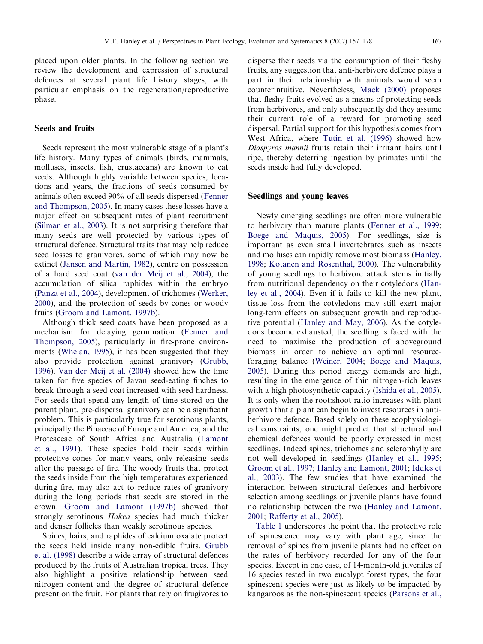placed upon older plants. In the following section we review the development and expression of structural defences at several plant life history stages, with particular emphasis on the regeneration/reproductive phase.

#### Seeds and fruits

Seeds represent the most vulnerable stage of a plant's life history. Many types of animals (birds, mammals, molluscs, insects, fish, crustaceans) are known to eat seeds. Although highly variable between species, locations and years, the fractions of seeds consumed by animals often exceed 90% of all seeds dispersed [\(Fenner](#page-17-0) [and Thompson, 2005\)](#page-17-0). In many cases these losses have a major effect on subsequent rates of plant recruitment ([Silman et al., 2003](#page-20-0)). It is not surprising therefore that many seeds are well protected by various types of structural defence. Structural traits that may help reduce seed losses to granivores, some of which may now be extinct ([Jansen and Martin, 1982\)](#page-18-0), centre on possession of a hard seed coat ([van der Meij et al., 2004](#page-21-0)), the accumulation of silica raphides within the embryo ([Panza et al., 2004](#page-19-0)), development of trichomes [\(Werker,](#page-21-0) [2000](#page-21-0)), and the protection of seeds by cones or woody fruits ([Groom and Lamont, 1997b](#page-17-0)).

Although thick seed coats have been proposed as a mechanism for delaying germination [\(Fenner and](#page-17-0) [Thompson, 2005](#page-17-0)), particularly in fire-prone environments [\(Whelan, 1995\)](#page-21-0), it has been suggested that they also provide protection against granivory [\(Grubb,](#page-18-0) [1996](#page-18-0)). [Van der Meij et al. \(2004\)](#page-21-0) showed how the time taken for five species of Javan seed-eating finches to break through a seed coat increased with seed hardness. For seeds that spend any length of time stored on the parent plant, pre-dispersal granivory can be a significant problem. This is particularly true for serotinous plants, principally the Pinaceae of Europe and America, and the Proteaceae of South Africa and Australia [\(Lamont](#page-19-0) [et al., 1991\)](#page-19-0). These species hold their seeds within protective cones for many years, only releasing seeds after the passage of fire. The woody fruits that protect the seeds inside from the high temperatures experienced during fire, may also act to reduce rates of granivory during the long periods that seeds are stored in the crown. [Groom and Lamont \(1997b\)](#page-17-0) showed that strongly serotinous Hakea species had much thicker and denser follicles than weakly serotinous species.

Spines, hairs, and raphides of calcium oxalate protect the seeds held inside many non-edible fruits. [Grubb](#page-18-0) [et al. \(1998\)](#page-18-0) describe a wide array of structural defences produced by the fruits of Australian tropical trees. They also highlight a positive relationship between seed nitrogen content and the degree of structural defence present on the fruit. For plants that rely on frugivores to disperse their seeds via the consumption of their fleshy fruits, any suggestion that anti-herbivore defence plays a part in their relationship with animals would seem counterintuitive. Nevertheless, [Mack \(2000\)](#page-19-0) proposes that fleshy fruits evolved as a means of protecting seeds from herbivores, and only subsequently did they assume their current role of a reward for promoting seed dispersal. Partial support for this hypothesis comes from West Africa, where [Tutin et al. \(1996\)](#page-21-0) showed how Diospyros mannii fruits retain their irritant hairs until ripe, thereby deterring ingestion by primates until the seeds inside had fully developed.

## Seedlings and young leaves

Newly emerging seedlings are often more vulnerable to herbivory than mature plants [\(Fenner et al., 1999;](#page-17-0) [Boege and Maquis, 2005](#page-16-0)). For seedlings, size is important as even small invertebrates such as insects and molluscs can rapidly remove most biomass [\(Hanley,](#page-18-0) [1998](#page-18-0); [Kotanen and Rosenthal, 2000](#page-19-0)). The vulnerability of young seedlings to herbivore attack stems initially from nutritional dependency on their cotyledons ([Han](#page-18-0)[ley et al., 2004](#page-18-0)). Even if it fails to kill the new plant, tissue loss from the cotyledons may still exert major long-term effects on subsequent growth and reproductive potential ([Hanley and May, 2006\)](#page-18-0). As the cotyledons become exhausted, the seedling is faced with the need to maximise the production of aboveground biomass in order to achieve an optimal resourceforaging balance ([Weiner, 2004;](#page-21-0) [Boege and Maquis,](#page-16-0) [2005](#page-16-0)). During this period energy demands are high, resulting in the emergence of thin nitrogen-rich leaves with a high photosynthetic capacity [\(Ishida et al., 2005\)](#page-18-0). It is only when the root:shoot ratio increases with plant growth that a plant can begin to invest resources in antiherbivore defence. Based solely on these ecophysiological constraints, one might predict that structural and chemical defences would be poorly expressed in most seedlings. Indeed spines, trichomes and sclerophylly are not well developed in seedlings ([Hanley et al., 1995;](#page-18-0) [Groom et al., 1997;](#page-17-0) [Hanley and Lamont, 2001](#page-18-0); [Iddles et](#page-18-0) [al., 2003\)](#page-18-0). The few studies that have examined the interaction between structural defences and herbivore selection among seedlings or juvenile plants have found no relationship between the two [\(Hanley and Lamont,](#page-18-0) [2001](#page-18-0); [Rafferty et al., 2005](#page-20-0)).

[Table 1](#page-3-0) underscores the point that the protective role of spinescence may vary with plant age, since the removal of spines from juvenile plants had no effect on the rates of herbivory recorded for any of the four species. Except in one case, of 14-month-old juveniles of 16 species tested in two eucalypt forest types, the four spinescent species were just as likely to be impacted by kangaroos as the non-spinescent species ([Parsons et al.,](#page-20-0)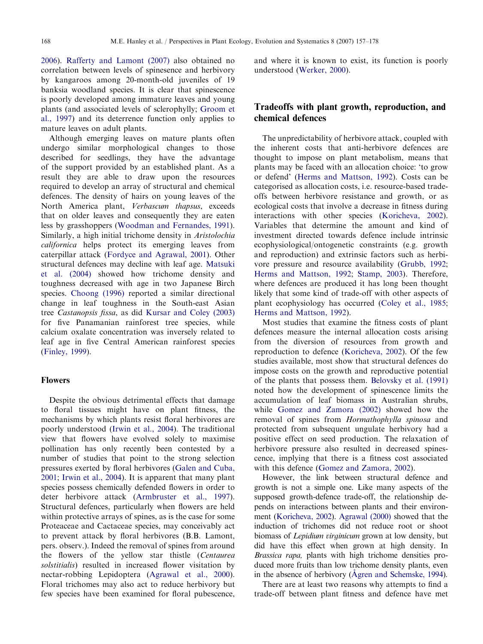[2006\)](#page-20-0). [Rafferty and Lamont \(2007\)](#page-20-0) also obtained no correlation between levels of spinesence and herbivory by kangaroos among 20-month-old juveniles of 19 banksia woodland species. It is clear that spinescence is poorly developed among immature leaves and young plants (and associated levels of sclerophylly; [Groom et](#page-17-0) [al., 1997\)](#page-17-0) and its deterrence function only applies to mature leaves on adult plants.

Although emerging leaves on mature plants often undergo similar morphological changes to those described for seedlings, they have the advantage of the support provided by an established plant. As a result they are able to draw upon the resources required to develop an array of structural and chemical defences. The density of hairs on young leaves of the North America plant, Verbascum thapsus, exceeds that on older leaves and consequently they are eaten less by grasshoppers [\(Woodman and Fernandes, 1991\)](#page-21-0). Similarly, a high initial trichome density in Aristolochia californica helps protect its emerging leaves from caterpillar attack [\(Fordyce and Agrawal, 2001\)](#page-17-0). Other structural defences may decline with leaf age. [Matsuki](#page-19-0) [et al. \(2004\)](#page-19-0) showed how trichome density and toughness decreased with age in two Japanese Birch species. [Choong \(1996\)](#page-16-0) reported a similar directional change in leaf toughness in the South-east Asian tree Castanopsis fissa, as did [Kursar and Coley \(2003\)](#page-19-0) for five Panamanian rainforest tree species, while calcium oxalate concentration was inversely related to leaf age in five Central American rainforest species ([Finley, 1999\)](#page-17-0).

#### Flowers

Despite the obvious detrimental effects that damage to floral tissues might have on plant fitness, the mechanisms by which plants resist floral herbivores are poorly understood [\(Irwin et al., 2004](#page-18-0)). The traditional view that flowers have evolved solely to maximise pollination has only recently been contested by a number of studies that point to the strong selection pressures exerted by floral herbivores [\(Galen and Cuba,](#page-17-0) [2001;](#page-17-0) [Irwin et al., 2004\)](#page-18-0). It is apparent that many plant species possess chemically defended flowers in order to deter herbivore attack ([Armbruster et al., 1997\)](#page-16-0). Structural defences, particularly when flowers are held within protective arrays of spines, as is the case for some Proteaceae and Cactaceae species, may conceivably act to prevent attack by floral herbivores (B.B. Lamont, pers. observ.). Indeed the removal of spines from around the flowers of the yellow star thistle (Centaurea solstitialis) resulted in increased flower visitation by nectar-robbing Lepidoptera [\(Agrawal et al., 2000\)](#page-16-0). Floral trichomes may also act to reduce herbivory but few species have been examined for floral pubescence, and where it is known to exist, its function is poorly understood ([Werker, 2000\)](#page-21-0).

# Tradeoffs with plant growth, reproduction, and chemical defences

The unpredictability of herbivore attack, coupled with the inherent costs that anti-herbivore defences are thought to impose on plant metabolism, means that plants may be faced with an allocation choice: 'to grow or defend' ([Herms and Mattson, 1992](#page-18-0)). Costs can be categorised as allocation costs, i.e. resource-based tradeoffs between herbivore resistance and growth, or as ecological costs that involve a decrease in fitness during interactions with other species [\(Koricheva, 2002\)](#page-18-0). Variables that determine the amount and kind of investment directed towards defence include intrinsic ecophysiological/ontogenetic constraints (e.g. growth and reproduction) and extrinsic factors such as herbivore pressure and resource availability ([Grubb, 1992](#page-18-0); [Herms and Mattson, 1992](#page-18-0); [Stamp, 2003\)](#page-20-0). Therefore, where defences are produced it has long been thought likely that some kind of trade-off with other aspects of plant ecophysiology has occurred [\(Coley et al., 1985](#page-16-0); [Herms and Mattson, 1992](#page-18-0)).

Most studies that examine the fitness costs of plant defences measure the internal allocation costs arising from the diversion of resources from growth and reproduction to defence ([Koricheva, 2002\)](#page-18-0). Of the few studies available, most show that structural defences do impose costs on the growth and reproductive potential of the plants that possess them. [Belovsky et al. \(1991\)](#page-16-0) noted how the development of spinescence limits the accumulation of leaf biomass in Australian shrubs, while [Gomez and Zamora \(2002\)](#page-17-0) showed how the removal of spines from Hormathophylla spinosa and protected from subsequent ungulate herbivory had a positive effect on seed production. The relaxation of herbivore pressure also resulted in decreased spinescence, implying that there is a fitness cost associated with this defence ([Gomez and Zamora, 2002](#page-17-0)).

However, the link between structural defence and growth is not a simple one. Like many aspects of the supposed growth-defence trade-off, the relationship depends on interactions between plants and their environment [\(Koricheva, 2002\)](#page-18-0). [Agrawal \(2000\)](#page-16-0) showed that the induction of trichomes did not reduce root or shoot biomass of Lepidium virginicum grown at low density, but did have this effect when grown at high density. In Brassica rapa, plants with high trichome densities produced more fruits than low trichome density plants, even in the absence of herbivory ([Agren and Schemske, 1994](#page-16-0)).

There are at least two reasons why attempts to find a trade-off between plant fitness and defence have met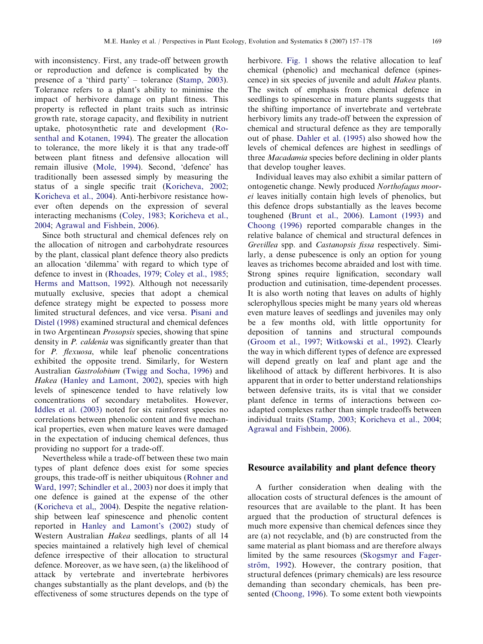with inconsistency. First, any trade-off between growth or reproduction and defence is complicated by the presence of a 'third party' – tolerance ([Stamp, 2003\)](#page-20-0). Tolerance refers to a plant's ability to minimise the impact of herbivore damage on plant fitness. This property is reflected in plant traits such as intrinsic growth rate, storage capacity, and flexibility in nutrient uptake, photosynthetic rate and development [\(Ro](#page-20-0)[senthal and Kotanen, 1994\)](#page-20-0). The greater the allocation to tolerance, the more likely it is that any trade-off between plant fitness and defensive allocation will remain illusive [\(Mole, 1994](#page-19-0)). Second, 'defence' has traditionally been assessed simply by measuring the status of a single specific trait [\(Koricheva, 2002;](#page-18-0) [Koricheva et al., 2004\)](#page-18-0). Anti-herbivore resistance however often depends on the expression of several interacting mechanisms ([Coley, 1983](#page-16-0); [Koricheva et al.,](#page-18-0) [2004](#page-18-0); [Agrawal and Fishbein, 2006](#page-16-0)).

Since both structural and chemical defences rely on the allocation of nitrogen and carbohydrate resources by the plant, classical plant defence theory also predicts an allocation 'dilemma' with regard to which type of defence to invest in [\(Rhoades, 1979;](#page-20-0) [Coley et al., 1985;](#page-16-0) [Herms and Mattson, 1992](#page-18-0)). Although not necessarily mutually exclusive, species that adopt a chemical defence strategy might be expected to possess more limited structural defences, and vice versa. [Pisani and](#page-20-0) [Distel \(1998\)](#page-20-0) examined structural and chemical defences in two Argentinean Prosopsis species, showing that spine density in P. caldenia was significantly greater than that for *P. flexuosa*, while leaf phenolic concentrations exhibited the opposite trend. Similarly, for Western Australian Gastrolobium [\(Twigg and Socha, 1996](#page-21-0)) and Hakea [\(Hanley and Lamont, 2002\)](#page-18-0), species with high levels of spinescence tended to have relatively low concentrations of secondary metabolites. However, [Iddles et al. \(2003\)](#page-18-0) noted for six rainforest species no correlations between phenolic content and five mechanical properties, even when mature leaves were damaged in the expectation of inducing chemical defences, thus providing no support for a trade-off.

Nevertheless while a trade-off between these two main types of plant defence does exist for some species groups, this trade-off is neither ubiquitous [\(Rohner and](#page-20-0) [Ward, 1997;](#page-20-0) [Schindler et al., 2003\)](#page-20-0) nor does it imply that one defence is gained at the expense of the other ([Koricheva et al,, 2004\)](#page-18-0). Despite the negative relationship between leaf spinescence and phenolic content reported in [Hanley and Lamont's \(2002\)](#page-18-0) study of Western Australian Hakea seedlings, plants of all 14 species maintained a relatively high level of chemical defence irrespective of their allocation to structural defence. Moreover, as we have seen, (a) the likelihood of attack by vertebrate and invertebrate herbivores changes substantially as the plant develops, and (b) the effectiveness of some structures depends on the type of herbivore. [Fig. 1](#page-13-0) shows the relative allocation to leaf chemical (phenolic) and mechanical defence (spinescence) in six species of juvenile and adult Hakea plants. The switch of emphasis from chemical defence in seedlings to spinescence in mature plants suggests that the shifting importance of invertebrate and vertebrate herbivory limits any trade-off between the expression of chemical and structural defence as they are temporally out of phase. [Dahler et al. \(1995\)](#page-17-0) also showed how the levels of chemical defences are highest in seedlings of three Macadamia species before declining in older plants that develop tougher leaves.

Individual leaves may also exhibit a similar pattern of ontogenetic change. Newly produced Northofagus moorei leaves initially contain high levels of phenolics, but this defence drops substantially as the leaves become toughened ([Brunt et al., 2006](#page-16-0)). [Lamont \(1993\)](#page-19-0) and [Choong \(1996\)](#page-16-0) reported comparable changes in the relative balance of chemical and structural defences in Grevillea spp. and Castanopsis fissa respectively. Similarly, a dense pubescence is only an option for young leaves as trichomes become abraided and lost with time. Strong spines require lignification, secondary wall production and cutinisation, time-dependent processes. It is also worth noting that leaves on adults of highly sclerophyllous species might be many years old whereas even mature leaves of seedlings and juveniles may only be a few months old, with little opportunity for deposition of tannins and structural compounds ([Groom et al., 1997;](#page-17-0) [Witkowski et al., 1992](#page-21-0)). Clearly the way in which different types of defence are expressed will depend greatly on leaf and plant age and the likelihood of attack by different herbivores. It is also apparent that in order to better understand relationships between defensive traits, its is vital that we consider plant defence in terms of interactions between coadapted complexes rather than simple tradeoffs between individual traits [\(Stamp, 2003;](#page-20-0) [Koricheva et al., 2004;](#page-18-0) [Agrawal and Fishbein, 2006](#page-16-0)).

#### Resource availability and plant defence theory

A further consideration when dealing with the allocation costs of structural defences is the amount of resources that are available to the plant. It has been argued that the production of structural defences is much more expensive than chemical defences since they are (a) not recyclable, and (b) are constructed from the same material as plant biomass and are therefore always limited by the same resources [\(Skogsmyr and Fager](#page-20-0)ström, 1992). However, the contrary position, that structural defences (primary chemicals) are less resource demanding than secondary chemicals, has been presented ([Choong, 1996](#page-16-0)). To some extent both viewpoints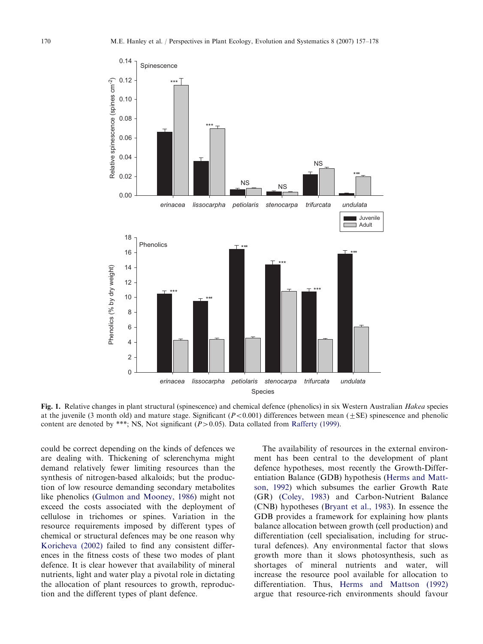<span id="page-13-0"></span>

Fig. 1. Relative changes in plant structural (spinescence) and chemical defence (phenolics) in six Western Australian Hakea species at the juvenile (3 month old) and mature stage. Significant  $(P<0.001)$  differences between mean ( $\pm$ SE) spinescence and phenolic content are denoted by \*\*\*; NS, Not significant  $(P>0.05)$ . Data collated from [Rafferty \(1999\).](#page-20-0)

could be correct depending on the kinds of defences we are dealing with. Thickening of sclerenchyma might demand relatively fewer limiting resources than the synthesis of nitrogen-based alkaloids; but the production of low resource demanding secondary metabolites like phenolics [\(Gulmon and Mooney, 1986](#page-18-0)) might not exceed the costs associated with the deployment of cellulose in trichomes or spines. Variation in the resource requirements imposed by different types of chemical or structural defences may be one reason why [Koricheva \(2002\)](#page-18-0) failed to find any consistent differences in the fitness costs of these two modes of plant defence. It is clear however that availability of mineral nutrients, light and water play a pivotal role in dictating the allocation of plant resources to growth, reproduction and the different types of plant defence.

The availability of resources in the external environment has been central to the development of plant defence hypotheses, most recently the Growth-Differentiation Balance (GDB) hypothesis ([Herms and Matt](#page-18-0)[son, 1992\)](#page-18-0) which subsumes the earlier Growth Rate (GR) ([Coley, 1983](#page-16-0)) and Carbon-Nutrient Balance (CNB) hypotheses [\(Bryant et al., 1983\)](#page-16-0). In essence the GDB provides a framework for explaining how plants balance allocation between growth (cell production) and differentiation (cell specialisation, including for structural defences). Any environmental factor that slows growth more than it slows photosynthesis, such as shortages of mineral nutrients and water, will increase the resource pool available for allocation to differentiation. Thus, [Herms and Mattson \(1992\)](#page-18-0) argue that resource-rich environments should favour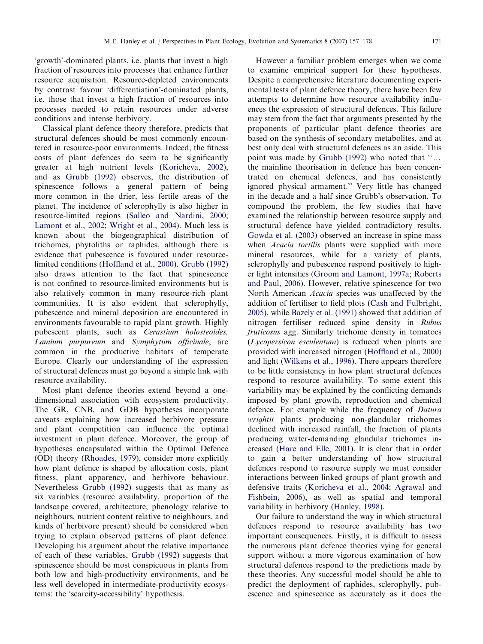Classical plant defence theory therefore, predicts that structural defences should be most commonly encountered in resource-poor environments. Indeed, the fitness costs of plant defences do seem to be significantly greater at high nutrient levels [\(Koricheva, 2002\)](#page-18-0), and as [Grubb \(1992\)](#page-18-0) observes, the distribution of spinescence follows a general pattern of being more common in the drier, less fertile areas of the planet. The incidence of sclerophylly is also higher in resource-limited regions [\(Salleo and Nardini, 2000;](#page-20-0) [Lamont et al., 2002;](#page-19-0) [Wright et al., 2004\)](#page-21-0). Much less is known about the biogeographical distribution of trichomes, phytoliths or raphides, although there is evidence that pubescence is favoured under resourcelimited conditions ([Hoffland et al., 2000](#page-18-0)). [Grubb \(1992\)](#page-18-0) also draws attention to the fact that spinescence is not confined to resource-limited environments but is also relatively common in many resource-rich plant communities. It is also evident that sclerophylly, pubescence and mineral deposition are encountered in environments favourable to rapid plant growth. Highly pubescent plants, such as Cerastium holosteoides, Lamium purpureum and Symphytum officinale, are common in the productive habitats of temperate Europe. Clearly our understanding of the expression of structural defences must go beyond a simple link with resource availability.

Most plant defence theories extend beyond a onedimensional association with ecosystem productivity. The GR, CNB, and GDB hypotheses incorporate caveats explaining how increased herbivore pressure and plant competition can influence the optimal investment in plant defence. Moreover, the group of hypotheses encapsulated within the Optimal Defence (OD) theory ([Rhoades, 1979\)](#page-20-0), consider more explicitly how plant defence is shaped by allocation costs, plant fitness, plant apparency, and herbivore behaviour. Nevertheless [Grubb \(1992\)](#page-18-0) suggests that as many as six variables (resource availability, proportion of the landscape covered, architecture, phenology relative to neighbours, nutrient content relative to neighbours, and kinds of herbivore present) should be considered when trying to explain observed patterns of plant defence. Developing his argument about the relative importance of each of these variables, [Grubb \(1992\)](#page-18-0) suggests that spinescence should be most conspicuous in plants from both low and high-productivity environments, and be less well developed in intermediate-productivity ecosystems: the 'scarcity-accessibility' hypothesis.

However a familiar problem emerges when we come to examine empirical support for these hypotheses. Despite a comprehensive literature documenting experimental tests of plant defence theory, there have been few attempts to determine how resource availability influences the expression of structural defences. This failure may stem from the fact that arguments presented by the proponents of particular plant defence theories are based on the synthesis of secondary metabolites, and at best only deal with structural defences as an aside. This point was made by Grubb  $(1992)$  who noted that " $\ldots$ the mainline theorisation in defence has been concentrated on chemical defences, and has consistently ignored physical armament.'' Very little has changed in the decade and a half since Grubb's observation. To compound the problem, the few studies that have examined the relationship between resource supply and structural defence have yielded contradictory results. [Gowda et al. \(2003\)](#page-17-0) observed an increase in spine mass when *Acacia tortilis* plants were supplied with more mineral resources, while for a variety of plants, sclerophylly and pubescence respond positively to higher light intensities [\(Groom and Lamont, 1997a;](#page-17-0) [Roberts](#page-20-0) [and Paul, 2006\)](#page-20-0). However, relative spinescence for two North American Acacia species was unaffected by the addition of fertiliser to field plots ([Cash and Fulbright,](#page-16-0) [2005](#page-16-0)), while [Bazely et al. \(1991\)](#page-16-0) showed that addition of nitrogen fertiliser reduced spine density in Rubus fruticosus agg. Similarly trichome density in tomatoes (Lycopersicon esculentum) is reduced when plants are provided with increased nitrogen ([Hoffland et al., 2000](#page-18-0)) and light ([Wilkens et al., 1996\)](#page-21-0). There appears therefore to be little consistency in how plant structural defences respond to resource availability. To some extent this variability may be explained by the conflicting demands imposed by plant growth, reproduction and chemical defence. For example while the frequency of Datura wrightii plants producing non-glandular trichomes declined with increased rainfall, the fraction of plants producing water-demanding glandular trichomes increased [\(Hare and Elle, 2001](#page-18-0)). It is clear that in order to gain a better understanding of how structural defences respond to resource supply we must consider interactions between linked groups of plant growth and defensive traits ([Koricheva et al., 2004;](#page-18-0) [Agrawal and](#page-16-0) [Fishbein, 2006](#page-16-0)), as well as spatial and temporal variability in herbivory ([Hanley, 1998\)](#page-18-0).

Our failure to understand the way in which structural defences respond to resource availability has two important consequences. Firstly, it is difficult to assess the numerous plant defence theories vying for general support without a more vigorous examination of how structural defences respond to the predictions made by these theories. Any successful model should be able to predict the deployment of raphides, sclerophylly, pubescence and spinescence as accurately as it does the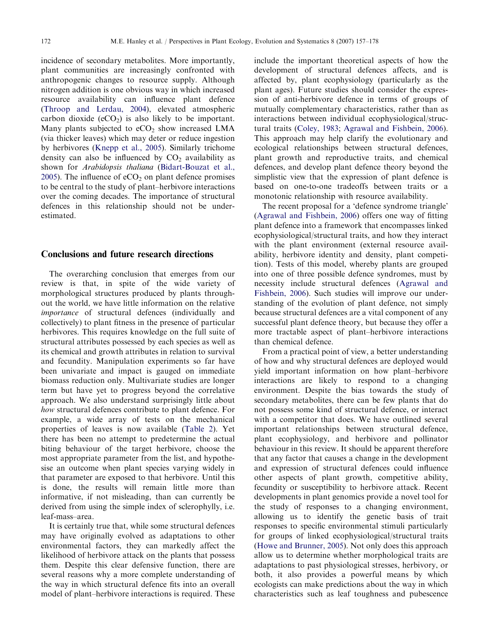incidence of secondary metabolites. More importantly, plant communities are increasingly confronted with anthropogenic changes to resource supply. Although nitrogen addition is one obvious way in which increased resource availability can influence plant defence ([Throop and Lerdau, 2004\)](#page-21-0), elevated atmospheric carbon dioxide  $(eCO<sub>2</sub>)$  is also likely to be important. Many plants subjected to  $eCO<sub>2</sub>$  show increased LMA (via thicker leaves) which may deter or reduce ingestion by herbivores [\(Knepp et al., 2005](#page-18-0)). Similarly trichome density can also be influenced by  $CO<sub>2</sub>$  availability as shown for Arabidopsis thaliana ([Bidart-Bouzat et al.,](#page-16-0) [2005\)](#page-16-0). The influence of  $eCO<sub>2</sub>$  on plant defence promises to be central to the study of plant–herbivore interactions over the coming decades. The importance of structural defences in this relationship should not be underestimated.

#### Conclusions and future research directions

The overarching conclusion that emerges from our review is that, in spite of the wide variety of morphological structures produced by plants throughout the world, we have little information on the relative importance of structural defences (individually and collectively) to plant fitness in the presence of particular herbivores. This requires knowledge on the full suite of structural attributes possessed by each species as well as its chemical and growth attributes in relation to survival and fecundity. Manipulation experiments so far have been univariate and impact is gauged on immediate biomass reduction only. Multivariate studies are longer term but have yet to progress beyond the correlative approach. We also understand surprisingly little about how structural defences contribute to plant defence. For example, a wide array of tests on the mechanical properties of leaves is now available ([Table 2\)](#page-4-0). Yet there has been no attempt to predetermine the actual biting behaviour of the target herbivore, choose the most appropriate parameter from the list, and hypothesise an outcome when plant species varying widely in that parameter are exposed to that herbivore. Until this is done, the results will remain little more than informative, if not misleading, than can currently be derived from using the simple index of sclerophylly, i.e. leaf-mass–area.

It is certainly true that, while some structural defences may have originally evolved as adaptations to other environmental factors, they can markedly affect the likelihood of herbivore attack on the plants that possess them. Despite this clear defensive function, there are several reasons why a more complete understanding of the way in which structural defence fits into an overall model of plant–herbivore interactions is required. These

include the important theoretical aspects of how the development of structural defences affects, and is affected by, plant ecophysiology (particularly as the plant ages). Future studies should consider the expression of anti-herbivore defence in terms of groups of mutually complementary characteristics, rather than as interactions between individual ecophysiological/structural traits ([Coley, 1983;](#page-16-0) [Agrawal and Fishbein, 2006\)](#page-16-0). This approach may help clarify the evolutionary and ecological relationships between structural defences, plant growth and reproductive traits, and chemical defences, and develop plant defence theory beyond the simplistic view that the expression of plant defence is based on one-to-one tradeoffs between traits or a monotonic relationship with resource availability.

The recent proposal for a 'defence syndrome triangle' ([Agrawal and Fishbein, 2006\)](#page-16-0) offers one way of fitting plant defence into a framework that encompasses linked ecophysiological/structural traits, and how they interact with the plant environment (external resource availability, herbivore identity and density, plant competition). Tests of this model, whereby plants are grouped into one of three possible defence syndromes, must by necessity include structural defences ([Agrawal and](#page-16-0) [Fishbein, 2006](#page-16-0)). Such studies will improve our understanding of the evolution of plant defence, not simply because structural defences are a vital component of any successful plant defence theory, but because they offer a more tractable aspect of plant–herbivore interactions than chemical defence.

From a practical point of view, a better understanding of how and why structural defences are deployed would yield important information on how plant–herbivore interactions are likely to respond to a changing environment. Despite the bias towards the study of secondary metabolites, there can be few plants that do not possess some kind of structural defence, or interact with a competitor that does. We have outlined several important relationships between structural defence, plant ecophysiology, and herbivore and pollinator behaviour in this review. It should be apparent therefore that any factor that causes a change in the development and expression of structural defences could influence other aspects of plant growth, competitive ability, fecundity or susceptibility to herbivore attack. Recent developments in plant genomics provide a novel tool for the study of responses to a changing environment, allowing us to identify the genetic basis of trait responses to specific environmental stimuli particularly for groups of linked ecophysiological/structural traits ([Howe and Brunner, 2005\)](#page-18-0). Not only does this approach allow us to determine whether morphological traits are adaptations to past physiological stresses, herbivory, or both, it also provides a powerful means by which ecologists can make predictions about the way in which characteristics such as leaf toughness and pubescence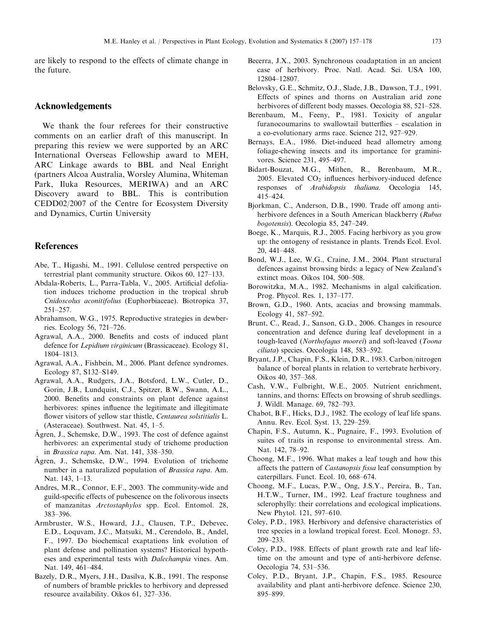<span id="page-16-0"></span>are likely to respond to the effects of climate change in the future.

## Acknowledgements

We thank the four referees for their constructive comments on an earlier draft of this manuscript. In preparing this review we were supported by an ARC International Overseas Fellowship award to MEH, ARC Linkage awards to BBL and Neal Enright (partners Alcoa Australia, Worsley Alumina, Whiteman Park, Iluka Resources, MERIWA) and an ARC Discovery award to BBL. This is contribution CEDD02/2007 of the Centre for Ecosystem Diversity and Dynamics, Curtin University

## References

- Abe, T., Higashi, M., 1991. Cellulose centred perspective on terrestrial plant community structure. Oikos 60, 127–133.
- Abdala-Roberts, L., Parra-Tabla, V., 2005. Artificial defoliation induces trichome production in the tropical shrub Cnidoscolus aconitifolius (Euphorbiaceae). Biotropica 37, 251–257.
- Abrahamson, W.G., 1975. Reproductive strategies in dewberries. Ecology 56, 721–726.
- Agrawal, A.A., 2000. Benefits and costs of induced plant defence for Lepidium virginicum (Brassicaceae). Ecology 81, 1804–1813.
- Agrawal, A.A., Fishbein, M., 2006. Plant defence syndromes. Ecology 87, S132–S149.
- Agrawal, A.A., Rudgers, J.A., Botsford, L.W., Cutler, D., Gorin, J.B., Lundquist, C.J., Spitzer, B.W., Swann, A.L., 2000. Benefits and constraints on plant defence against herbivores: spines influence the legitimate and illegitimate flower visitors of yellow star thistle, Centaurea solstitialis L. (Asteraceae). Southwest. Nat. 45, 1–5.
- Agren, J., Schemske, D.W., 1993. The cost of defence against ( herbivores: an experimental study of trichome production in Brassica rapa. Am. Nat. 141, 338–350.
- Agren, J., Schemske, D.W., 1994. Evolution of trichome ( number in a naturalized population of Brassica rapa. Am. Nat. 143, 1–13.
- Andres, M.R., Connor, E.F., 2003. The community-wide and guild-specific effects of pubescence on the folivorous insects of manzanitas Arctostaphylos spp. Ecol. Entomol. 28, 383–396.
- Armbruster, W.S., Howard, J.J., Clausen, T.P., Debevec, E.D., Loquvam, J.C., Matsuki, M., Cerendolo, B., Andel, F., 1997. Do biochemical exaptations link evolution of plant defense and pollination systems? Historical hypotheses and experimental tests with Dalechampia vines. Am. Nat. 149, 461–484.
- Bazely, D.R., Myers, J.H., Dasilva, K.B., 1991. The response of numbers of bramble prickles to herbivory and depressed resource availability. Oikos 61, 327–336.
- Becerra, J.X., 2003. Synchronous coadaptation in an ancient case of herbivory. Proc. Natl. Acad. Sci. USA 100, 12804–12807.
- Belovsky, G.E., Schmitz, O.J., Slade, J.B., Dawson, T.J., 1991. Effects of spines and thorns on Australian arid zone herbivores of different body masses. Oecologia 88, 521–528.
- Berenbaum, M., Feeny, P., 1981. Toxicity of angular furanocoumarins to swallowtail butterflies – escalation in a co-evolutionary arms race. Science 212, 927–929.
- Bernays, E.A., 1986. Diet-induced head allometry among foliage-chewing insects and its importance for graminivores. Science 231, 495–497.
- Bidart-Bouzat, M.G., Mithen, R., Berenbaum, M.R., 2005. Elevated  $CO<sub>2</sub>$  influences herbivory-induced defence responses of Arabidopsis thaliana. Oecologia 145, 415–424.
- Bjorkman, C., Anderson, D.B., 1990. Trade off among antiherbivore defences in a South American blackberry (Rubus bogotensis). Oecologia 85, 247–249.
- Boege, K., Marquis, R.J., 2005. Facing herbivory as you grow up: the ontogeny of resistance in plants. Trends Ecol. Evol. 20, 441–448.
- Bond, W.J., Lee, W.G., Craine, J.M., 2004. Plant structural defences against browsing birds: a legacy of New Zealand's extinct moas. Oikos 104, 500–508.
- Borowitzka, M.A., 1982. Mechanisms in algal calcification. Prog. Phycol. Res. 1, 137–177.
- Brown, G.D., 1960. Ants, acacias and browsing mammals. Ecology 41, 587–592.
- Brunt, C., Read, J., Sanson, G.D., 2006. Changes in resource concentration and defence during leaf development in a tough-leaved (Northofagus moorei) and soft-leaved (Toona ciliata) species. Oecologia 148, 583–592.
- Bryant, J.P., Chapin, F.S., Klein, D.R., 1983. Carbon/nitrogen balance of boreal plants in relation to vertebrate herbivory. Oikos 40, 357–368.
- Cash, V.W., Fulbright, W.E., 2005. Nutrient enrichment, tannins, and thorns: Effects on browsing of shrub seedlings. J. Wildl. Manage. 69, 782–793.
- Chabot, B.F., Hicks, D.J., 1982. The ecology of leaf life spans. Annu. Rev. Ecol. Syst. 13, 229–259.
- Chapin, F.S., Autumn, K., Pugnaire, F., 1993. Evolution of suites of traits in response to environmental stress. Am. Nat. 142, 78–92.
- Choong, M.F., 1996. What makes a leaf tough and how this affects the pattern of Castanopsis fissa leaf consumption by caterpillars. Funct. Ecol. 10, 668–674.
- Choong, M.F., Lucas, P.W., Ong, J.S.Y., Pereira, B., Tan, H.T.W., Turner, IM., 1992. Leaf fracture toughness and sclerophylly: their correlations and ecological implications. New Phytol. 121, 597–610.
- Coley, P.D., 1983. Herbivory and defensive characteristics of tree species in a lowland tropical forest. Ecol. Monogr. 53, 209–233.
- Coley, P.D., 1988. Effects of plant growth rate and leaf lifetime on the amount and type of anti-herbivore defense. Oecologia 74, 531–536.
- Coley, P.D., Bryant, J.P., Chapin, F.S., 1985. Resource availability and plant anti-herbivore defence. Science 230, 895–899.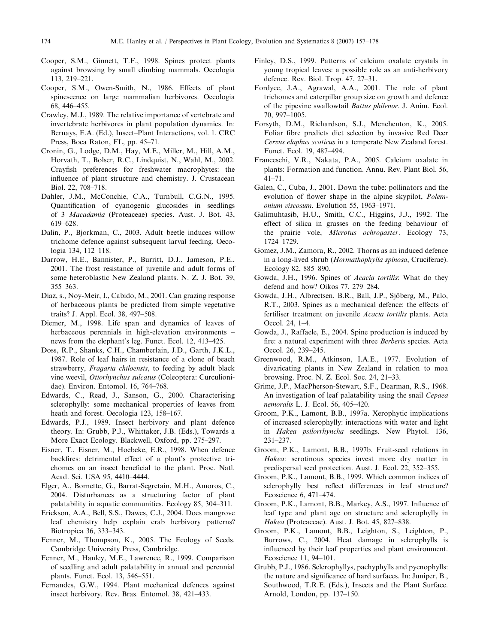- <span id="page-17-0"></span>Cooper, S.M., Ginnett, T.F., 1998. Spines protect plants against browsing by small climbing mammals. Oecologia 113, 219–221.
- Cooper, S.M., Owen-Smith, N., 1986. Effects of plant spinescence on large mammalian herbivores. Oecologia 68, 446–455.
- Crawley, M.J., 1989. The relative importance of vertebrate and invertebrate herbivores in plant population dynamics. In: Bernays, E.A. (Ed.), Insect–Plant Interactions, vol. 1. CRC Press, Boca Raton, FL, pp. 45–71.
- Cronin, G., Lodge, D.M., Hay, M.E., Miller, M., Hill, A.M., Horvath, T., Bolser, R.C., Lindquist, N., Wahl, M., 2002. Crayfish preferences for freshwater macrophytes: the influence of plant structure and chemistry. J. Crustacean Biol. 22, 708–718.
- Dahler, J.M., McConchie, C.A., Turnbull, C.G.N., 1995. Quantification of cyanogenic glucosides in seedlings of 3 Macadamia (Proteaceae) species. Aust. J. Bot. 43, 619–628.
- Dalin, P., Bjorkman, C., 2003. Adult beetle induces willow trichome defence against subsequent larval feeding. Oecologia 134, 112–118.
- Darrow, H.E., Bannister, P., Burritt, D.J., Jameson, P.E., 2001. The frost resistance of juvenile and adult forms of some heteroblastic New Zealand plants. N. Z. J. Bot. 39, 355–363.
- Diaz, s., Noy-Meir, I., Cabido, M., 2001. Can grazing response of herbaceous plants be predicted from simple vegetative traits? J. Appl. Ecol. 38, 497–508.
- Diemer, M., 1998. Life span and dynamics of leaves of herbaceous perennials in high-elevation environments – news from the elephant's leg. Funct. Ecol. 12, 413–425.
- Doss, R.P., Shanks, C.H., Chamberlain, J.D., Garth, J.K.L., 1987. Role of leaf hairs in resistance of a clone of beach strawberry, Fragaria chiloensis, to feeding by adult black vine weevil, Otiorhynchus sulcatus (Coleoptera: Curculionidae). Environ. Entomol. 16, 764–768.
- Edwards, C., Read, J., Sanson, G., 2000. Characterising sclerophylly: some mechanical properties of leaves from heath and forest. Oecologia 123, 158–167.
- Edwards, P.J., 1989. Insect herbivory and plant defence theory. In: Grubb, P.J., Whittaker, J.B. (Eds.), Towards a More Exact Ecology. Blackwell, Oxford, pp. 275–297.
- Eisner, T., Eisner, M., Hoebeke, E.R., 1998. When defence backfires: detrimental effect of a plant's protective trichomes on an insect beneficial to the plant. Proc. Natl. Acad. Sci. USA 95, 4410–4444.
- Elger, A., Bornette, G., Barrat-Segretain, M.H., Amoros, C., 2004. Disturbances as a structuring factor of plant palatability in aquatic communities. Ecology 85, 304–311.
- Erickson, A.A., Bell, S.S., Dawes, C.J., 2004. Does mangrove leaf chemistry help explain crab herbivory patterns? Biotropica 36, 333–343.
- Fenner, M., Thompson, K., 2005. The Ecology of Seeds. Cambridge University Press, Cambridge.
- Fenner, M., Hanley, M.E., Lawrence, R., 1999. Comparison of seedling and adult palatability in annual and perennial plants. Funct. Ecol. 13, 546–551.
- Fernandes, G.W., 1994. Plant mechanical defences against insect herbivory. Rev. Bras. Entomol. 38, 421–433.
- Finley, D.S., 1999. Patterns of calcium oxalate crystals in young tropical leaves: a possible role as an anti-herbivory defence. Rev. Biol. Trop. 47, 27–31.
- Fordyce, J.A., Agrawal, A.A., 2001. The role of plant trichomes and caterpillar group size on growth and defence of the pipevine swallowtail Battus philenor. J. Anim. Ecol. 70, 997–1005.
- Forsyth, D.M., Richardson, S.J., Menchenton, K., 2005. Foliar fibre predicts diet selection by invasive Red Deer Cervus elaphus scoticus in a temperate New Zealand forest. Funct. Ecol. 19, 487–494.
- Franceschi, V.R., Nakata, P.A., 2005. Calcium oxalate in plants: Formation and function. Annu. Rev. Plant Biol. 56, 41–71.
- Galen, C., Cuba, J., 2001. Down the tube: pollinators and the evolution of flower shape in the alpine skypilot, Polemonium viscosum. Evolution 55, 1963–1971.
- Galimuhtasib, H.U., Smith, C.C., Higgins, J.J., 1992. The effect of silica in grasses on the feeding behaviour of the prairie vole, Microtus ochrogaster. Ecology 73, 1724–1729.
- Gomez, J.M., Zamora, R., 2002. Thorns as an induced defence in a long-lived shrub (Hormathophylla spinosa, Cruciferae). Ecology 82, 885–890.
- Gowda, J.H., 1996. Spines of Acacia tortilis: What do they defend and how? Oikos 77, 279–284.
- Gowda, J.H., Albrectsen, B.R., Ball, J.P., Sjöberg, M., Palo, R.T., 2003. Spines as a mechanical defence: the effects of fertiliser treatment on juvenile Acacia tortilis plants. Acta Oecol. 24, 1–4.
- Gowda, J., Raffaele, E., 2004. Spine production is induced by fire: a natural experiment with three Berberis species. Acta Oecol. 26, 239–245.
- Greenwood, R.M., Atkinson, I.A.E., 1977. Evolution of divaricating plants in New Zealand in relation to moa browsing. Proc. N. Z. Ecol. Soc. 24, 21–33.
- Grime, J.P., MacPherson-Stewart, S.F., Dearman, R.S., 1968. An investigation of leaf palatability using the snail Cepaea nemoralis L. J. Ecol. 56, 405–420.
- Groom, P.K., Lamont, B.B., 1997a. Xerophytic implications of increased sclerophylly: interactions with water and light in Hakea psilorrhyncha seedlings. New Phytol. 136, 231–237.
- Groom, P.K., Lamont, B.B., 1997b. Fruit-seed relations in Hakea: serotinous species invest more dry matter in predispersal seed protection. Aust. J. Ecol. 22, 352–355.
- Groom, P.K., Lamont, B.B., 1999. Which common indices of sclerophylly best reflect differences in leaf structure? Ecoscience 6, 471–474.
- Groom, P.K., Lamont, B.B., Markey, A.S., 1997. Influence of leaf type and plant age on structure and sclerophylly in Hakea (Proteaceae). Aust. J. Bot. 45, 827–838.
- Groom, P.K., Lamont, B.B., Leighton, S., Leighton, P., Burrows, C., 2004. Heat damage in sclerophylls is influenced by their leaf properties and plant environment. Ecoscience 11, 94–101.
- Grubb, P.J., 1986. Sclerophyllys, pachyphylls and pycnophylls: the nature and significance of hard surfaces. In: Juniper, B., Southwood, T.R.E. (Eds.), Insects and the Plant Surface. Arnold, London, pp. 137–150.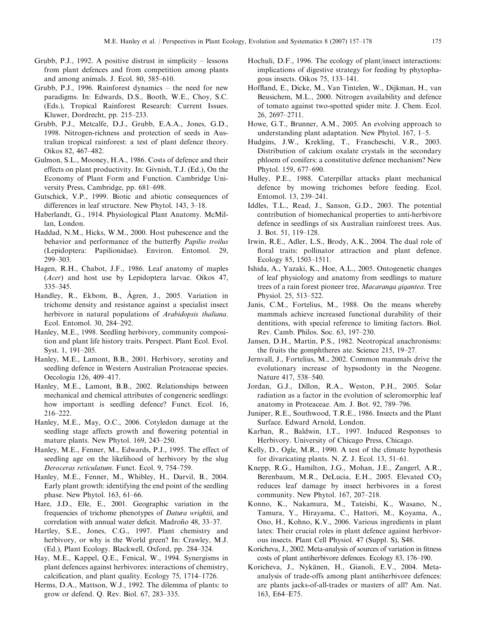- <span id="page-18-0"></span>Grubb, P.J., 1992. A positive distrust in simplicity – lessons from plant defences and from competition among plants and among animals. J. Ecol. 80, 585–610.
- Grubb, P.J., 1996. Rainforest dynamics the need for new paradigms. In: Edwards, D.S., Booth, W.E., Choy, S.C. (Eds.), Tropical Rainforest Research: Current Issues. Kluwer, Dordrecht, pp. 215–233.
- Grubb, P.J., Metcalfe, D.J., Grubb, E.A.A., Jones, G.D., 1998. Nitrogen-richness and protection of seeds in Australian tropical rainforest: a test of plant defence theory. Oikos 82, 467–482.
- Gulmon, S.L., Mooney, H.A., 1986. Costs of defence and their effects on plant productivity. In: Givnish, T.J. (Ed.), On the Economy of Plant Form and Function. Cambridge University Press, Cambridge, pp. 681–698.
- Gutschick, V.P., 1999. Biotic and abiotic consequences of differences in leaf structure. New Phytol. 143, 3–18.
- Haberlandt, G., 1914. Physiological Plant Anatomy. McMillan, London.
- Haddad, N.M., Hicks, W.M., 2000. Host pubescence and the behavior and performance of the butterfly Papilio troilus (Lepidoptera: Papilionidae). Environ. Entomol. 29, 299–303.
- Hagen, R.H., Chabot, J.F., 1986. Leaf anatomy of maples (Acer) and host use by Lepidoptera larvae. Oikos 47, 335–345.
- Handley, R., Ekbom, B., Agren, J., 2005. Variation in ( trichome density and resistance against a specialist insect herbivore in natural populations of Arabidopsis thaliana. Ecol. Entomol. 30, 284–292.
- Hanley, M.E., 1998. Seedling herbivory, community composition and plant life history traits. Perspect. Plant Ecol. Evol. Syst. 1, 191–205.
- Hanley, M.E., Lamont, B.B., 2001. Herbivory, serotiny and seedling defence in Western Australian Proteaceae species. Oecologia 126, 409–417.
- Hanley, M.E., Lamont, B.B., 2002. Relationships between mechanical and chemical attributes of congeneric seedlings: how important is seedling defence? Funct. Ecol. 16, 216–222.
- Hanley, M.E., May, O.C., 2006. Cotyledon damage at the seedling stage affects growth and flowering potential in mature plants. New Phytol. 169, 243–250.
- Hanley, M.E., Fenner, M., Edwards, P.J., 1995. The effect of seedling age on the likelihood of herbivory by the slug Deroceras reticulatum. Funct. Ecol. 9, 754–759.
- Hanley, M.E., Fenner, M., Whibley, H., Darvil, B., 2004. Early plant growth: identifying the end point of the seedling phase. New Phytol. 163, 61–66.
- Hare, J.D., Elle, E., 2001. Geographic variation in the frequencies of trichome phenotypes of Datura wrightii, and correlation with annual water deficit. Madroño 48, 33–37.
- Hartley, S.E., Jones, C.G., 1997. Plant chemistry and herbivory, or why is the World green? In: Crawley, M.J. (Ed.), Plant Ecology. Blackwell, Oxford, pp. 284–324.
- Hay, M.E., Kappel, Q.E., Fenical, W., 1994. Synergisms in plant defences against herbivores: interactions of chemistry, calcification, and plant quality. Ecology 75, 1714–1726.
- Herms, D.A., Mattson, W.J., 1992. The dilemma of plants: to grow or defend. Q. Rev. Biol. 67, 283–335.
- Hochuli, D.F., 1996. The ecology of plant/insect interactions: implications of digestive strategy for feeding by phytophagous insects. Oikos 75, 133–141.
- Hoffland, E., Dicke, M., Van Tintelen, W., Dijkman, H., van Beusichem, M.L., 2000. Nitrogen availability and defence of tomato against two-spotted spider mite. J. Chem. Ecol. 26, 2697–2711.
- Howe, G.T., Brunner, A.M., 2005. An evolving approach to understanding plant adaptation. New Phytol. 167, 1–5.
- Hudgins, J.W., Krekling, T., Francheschi, V.R., 2003. Distribution of calcium oxalate crystals in the secondary phloem of conifers: a constitutive defence mechanism? New Phytol. 159, 677–690.
- Hulley, P.E., 1988. Caterpillar attacks plant mechanical defence by mowing trichomes before feeding. Ecol. Entomol. 13, 239–241.
- Iddles, T.L., Read, J., Sanson, G.D., 2003. The potential contribution of biomechanical properties to anti-herbivore defence in seedlings of six Australian rainforest trees. Aus. J. Bot. 51, 119–128.
- Irwin, R.E., Adler, L.S., Brody, A.K., 2004. The dual role of floral traits: pollinator attraction and plant defence. Ecology 85, 1503–1511.
- Ishida, A., Yazaki, K., Hoe, A.L., 2005. Ontogenetic changes of leaf physiology and anatomy from seedlings to mature trees of a rain forest pioneer tree, Macaranga gigantea. Tree Physiol. 25, 513–522.
- Janis, C.M., Fortelius, M., 1988. On the means whereby mammals achieve increased functional durability of their dentitions, with special reference to limiting factors. Biol. Rev. Camb. Philos. Soc. 63, 197–230.
- Jansen, D.H., Martin, P.S., 1982. Neotropical anachronisms: the fruits the gomphtheres ate. Science 215, 19–27.
- Jernvall, J., Fortelius, M., 2002. Common mammals drive the evolutionary increase of hypsodonty in the Neogene. Nature 417, 538–540.
- Jordan, G.J., Dillon, R.A., Weston, P.H., 2005. Solar radiation as a factor in the evolution of scleromorphic leaf anatomy in Proteaceae. Am. J. Bot. 92, 789–796.
- Juniper, R.E., Southwood, T.R.E., 1986. Insects and the Plant Surface. Edward Arnold, London.
- Karban, R., Baldwin, I.T., 1997. Induced Responses to Herbivory. University of Chicago Press, Chicago.
- Kelly, D., Ogle, M.R., 1990. A test of the climate hypothesis for divaricating plants. N. Z. J. Ecol. 13, 51–61.
- Knepp, R.G., Hamilton, J.G., Mohan, J.E., Zangerl, A.R., Berenbaum, M.R., DeLucia, E.H., 2005. Elevated CO<sub>2</sub> reduces leaf damage by insect herbivores in a forest community. New Phytol. 167, 207–218.
- Konno, K., Nakamura, M., Tateishi, K., Wasano, N., Tamura, Y., Hirayama, C., Hattori, M., Koyama, A., Ono, H., Kohno, K.V., 2006. Various ingredients in plant latex: Their crucial roles in plant defence against herbivorous insects. Plant Cell Physiol. 47 (Suppl. S), S48.
- Koricheva, J., 2002. Meta-analysis of sources of variation in fitness costs of plant antiherbivore defences. Ecology 83, 176–190.
- Koricheva, J., Nykänen, H., Gianoli, E.V., 2004. Metaanalysis of trade-offs among plant antiherbivore defences: are plants jacks-of-all-trades or masters of all? Am. Nat. 163, E64–E75.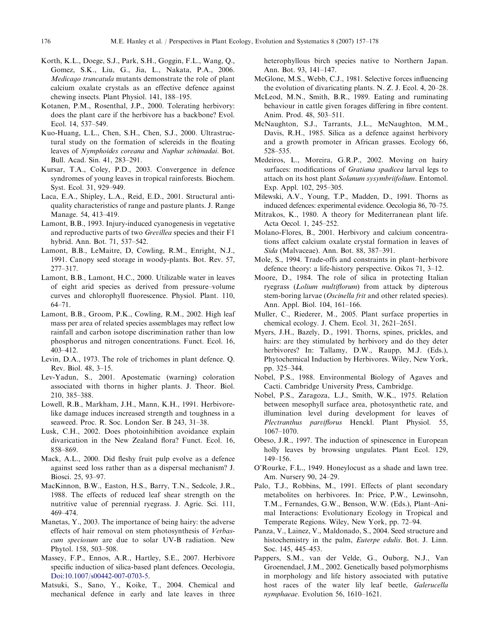- <span id="page-19-0"></span>Korth, K.L., Doege, S.J., Park, S.H., Goggin, F.L., Wang, Q., Gomez, S.K., Liu, G., Jia, L., Nakata, P.A., 2006. Medicago truncatula mutants demonstrate the role of plant calcium oxalate crystals as an effective defence against chewing insects. Plant Physiol. 141, 188–195.
- Kotanen, P.M., Rosenthal, J.P., 2000. Tolerating herbivory: does the plant care if the herbivore has a backbone? Evol. Ecol. 14, 537–549.
- Kuo-Huang, L.L., Chen, S.H., Chen, S.J., 2000. Ultrastructural study on the formation of sclereids in the floating leaves of Nymphoides coreana and Nuphar schimadai. Bot. Bull. Acad. Sin. 41, 283–291.
- Kursar, T.A., Coley, P.D., 2003. Convergence in defence syndromes of young leaves in tropical rainforests. Biochem. Syst. Ecol. 31, 929–949.
- Laca, E.A., Shipley, L.A., Reid, E.D., 2001. Structural antiquality characteristics of range and pasture plants. J. Range Manage. 54, 413–419.
- Lamont, B.B., 1993. Injury-induced cyanogenesis in vegetative and reproductive parts of two Grevillea species and their F1 hybrid. Ann. Bot. 71, 537–542.
- Lamont, B.B., LeMaitre, D, Cowling, R.M., Enright, N.J., 1991. Canopy seed storage in woody-plants. Bot. Rev. 57, 277–317.
- Lamont, B.B., Lamont, H.C., 2000. Utilizable water in leaves of eight arid species as derived from pressure–volume curves and chlorophyll fluorescence. Physiol. Plant. 110, 64–71.
- Lamont, B.B., Groom, P.K., Cowling, R.M., 2002. High leaf mass per area of related species assemblages may reflect low rainfall and carbon isotope discrimination rather than low phosphorus and nitrogen concentrations. Funct. Ecol. 16, 403–412.
- Levin, D.A., 1973. The role of trichomes in plant defence. Q. Rev. Biol. 48, 3–15.
- Lev-Yadun, S., 2001. Apostematic (warning) coloration associated with thorns in higher plants. J. Theor. Biol. 210, 385–388.
- Lowell, R.B., Markham, J.H., Mann, K.H., 1991. Herbivorelike damage induces increased strength and toughness in a seaweed. Proc. R. Soc. London Ser. B 243, 31–38.
- Lusk, C.H., 2002. Does photoinhibition avoidance explain divarication in the New Zealand flora? Funct. Ecol. 16, 858–869.
- Mack, A.L., 2000. Did fleshy fruit pulp evolve as a defence against seed loss rather than as a dispersal mechanism? J. Biosci. 25, 93–97.
- MacKinnon, B.W., Easton, H.S., Barry, T.N., Sedcole, J.R., 1988. The effects of reduced leaf shear strength on the nutritive value of perennial ryegrass. J. Agric. Sci. 111, 469–474.
- Manetas, Y., 2003. The importance of being hairy: the adverse effects of hair removal on stem photosynthesis of Verbascum speciosum are due to solar UV-B radiation. New Phytol. 158, 503–508.
- Massey, F.P., Ennos, A.R., Hartley, S.E., 2007. Herbivore specific induction of silica-based plant defences. Oecologia, [Doi:10.1007/s00442-007-0703-5.](http://dx.doi.org/10.1007/s00442-007-0703-5)
- Matsuki, S., Sano, Y., Koike, T., 2004. Chemical and mechanical defence in early and late leaves in three

heterophyllous birch species native to Northern Japan. Ann. Bot. 93, 141–147.

- McGlone, M.S., Webb, C.J., 1981. Selective forces influencing the evolution of divaricating plants. N. Z. J. Ecol. 4, 20–28.
- McLeod, M.N., Smith, B.R., 1989. Eating and ruminating behaviour in cattle given forages differing in fibre content. Anim. Prod. 48, 503–511.
- McNaughton, S.J., Tarrants, J.L., McNaughton, M.M., Davis, R.H., 1985. Silica as a defence against herbivory and a growth promoter in African grasses. Ecology 66, 528–535.
- Medeiros, L., Moreira, G.R.P., 2002. Moving on hairy surfaces: modifications of Gratiana spadicea larval legs to attach on its host plant Solanum sysymbriifolium. Entomol. Exp. Appl. 102, 295–305.
- Milewski, A.V., Young, T.P., Madden, D., 1991. Thorns as induced defences: experimental evidence. Oecologia 86, 70–75.
- Mitrakos, K., 1980. A theory for Mediterranean plant life. Acta Oecol. 1, 245–252.
- Molano-Flores, B., 2001. Herbivory and calcium concentrations affect calcium oxalate crystal formation in leaves of Sida (Malvaceae). Ann. Bot. 88, 387–391.
- Mole, S., 1994. Trade-offs and constraints in plant–herbivore defence theory: a life-history perspective. Oikos 71, 3–12.
- Moore, D., 1984. The role of silica in protecting Italian ryegrass (Lolium multiflorum) from attack by dipterous stem-boring larvae (*Oscinella frit* and other related species). Ann. Appl. Biol. 104, 161–166.
- Muller, C., Riederer, M., 2005. Plant surface properties in chemical ecology. J. Chem. Ecol. 31, 2621–2651.
- Myers, J.H., Bazely, D., 1991. Thorns, spines, prickles, and hairs: are they stimulated by herbivory and do they deter herbivores? In: Tallamy, D.W., Raupp, M.J. (Eds.), Phytochemical Induction by Herbivores. Wiley, New York, pp. 325–344.
- Nobel, P.S., 1988. Environmental Biology of Agaves and Cacti. Cambridge University Press, Cambridge.
- Nobel, P.S., Zaragoza, L.J., Smith, W.K., 1975. Relation between mesophyll surface area, photosynthetic rate, and illumination level during development for leaves of Plectranthus parviflorus Henckl. Plant Physiol. 55, 1067–1070.
- Obeso, J.R., 1997. The induction of spinescence in European holly leaves by browsing ungulates. Plant Ecol. 129, 149–156.
- O'Rourke, F.L., 1949. Honeylocust as a shade and lawn tree. Am. Nursery 90, 24–29.
- Palo, T.J., Robbins, M., 1991. Effects of plant secondary metabolites on herbivores. In: Price, P.W., Lewinsohn, T.M., Fernandes, G.W., Benson, W.W. (Eds.), Plant–Animal Interactions: Evolutionary Ecology in Tropical and Temperate Regions. Wiley, New York, pp. 72–94.
- Panza, V., Lainez, V., Maldonado, S., 2004. Seed structure and histochemistry in the palm, *Euterpe edulis*. Bot. J. Linn. Soc. 145, 445–453.
- Pappers, S.M., van der Velde, G., Ouborg, N.J., Van Groenendael, J.M., 2002. Genetically based polymorphisms in morphology and life history associated with putative host races of the water lily leaf beetle, Galerucella nymphaeae. Evolution 56, 1610–1621.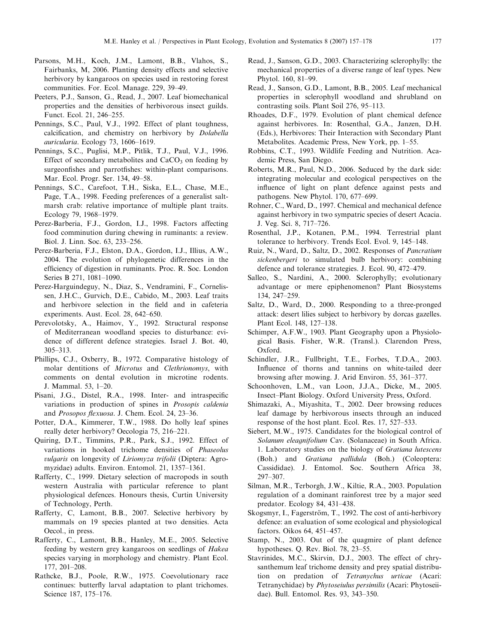- <span id="page-20-0"></span>Parsons, M.H., Koch, J.M., Lamont, B.B., Vlahos, S., Fairbanks, M, 2006. Planting density effects and selective herbivory by kangaroos on species used in restoring forest communities. For. Ecol. Manage. 229, 39–49.
- Peeters, P.J., Sanson, G., Read, J., 2007. Leaf biomechanical properties and the densities of herbivorous insect guilds. Funct. Ecol. 21, 246–255.
- Pennings, S.C., Paul, V.J., 1992. Effect of plant toughness, calcification, and chemistry on herbivory by Dolabella auricularia. Ecology 73, 1606–1619.
- Pennings, S.C., Puglisi, M.P., Pitlik, T.J., Paul, V.J., 1996. Effect of secondary metabolites and  $CaCO<sub>3</sub>$  on feeding by surgeonfishes and parrotfishes: within-plant comparisons. Mar. Ecol. Progr. Ser. 134, 49–58.
- Pennings, S.C., Carefoot, T.H., Siska, E.L., Chase, M.E., Page, T.A., 1998. Feeding preferences of a generalist saltmarsh crab: relative importance of multiple plant traits. Ecology 79, 1968–1979.
- Perez-Barberia, F.J., Gordon, I.J., 1998. Factors affecting food comminution during chewing in ruminants: a review. Biol. J. Linn. Soc. 63, 233–256.
- Perez-Barberia, F.J., Elston, D.A., Gordon, I.J., Illius, A.W., 2004. The evolution of phylogenetic differences in the efficiency of digestion in ruminants. Proc. R. Soc. London Series B 271, 1081–1090.
- Perez-Harguindeguy, N., Diaz, S., Vendramini, F., Cornelissen, J.H.C., Gurvich, D.E., Cabido, M., 2003. Leaf traits and herbivore selection in the field and in cafeteria experiments. Aust. Ecol. 28, 642–650.
- Perevolotsky, A., Haimov, Y., 1992. Structural response of Mediterranean woodland species to disturbance: evidence of different defence strategies. Israel J. Bot. 40, 305–313.
- Phillips, C.J., Oxberry, B., 1972. Comparative histology of molar dentitions of Microtus and Clethrionomys, with comments on dental evolution in microtine rodents. J. Mammal. 53, 1–20.
- Pisani, J.G., Distel, R.A., 1998. Inter- and intraspecific variations in production of spines in Prosopis caldenia and Prosopos flexuosa. J. Chem. Ecol. 24, 23–36.
- Potter, D.A., Kimmerer, T.W., 1988. Do holly leaf spines really deter herbivory? Oecologia 75, 216–221.
- Quiring, D.T., Timmins, P.R., Park, S.J., 1992. Effect of variations in hooked trichome densities of Phaseolus vulgaris on longevity of Liriomyza trifolii (Diptera: Agromyzidae) adults. Environ. Entomol. 21, 1357–1361.
- Rafferty, C., 1999. Dietary selection of macropods in south western Australia with particular reference to plant physiological defences. Honours thesis, Curtin University of Technology, Perth.
- Rafferty, C, Lamont, B.B., 2007. Selective herbivory by mammals on 19 species planted at two densities. Acta Oecol., in press.
- Rafferty, C., Lamont, B.B., Hanley, M.E., 2005. Selective feeding by western grey kangaroos on seedlings of Hakea species varying in morphology and chemistry. Plant Ecol. 177, 201–208.
- Rathcke, B.J., Poole, R.W., 1975. Coevolutionary race continues: butterfly larval adaptation to plant trichomes. Science 187, 175–176.
- Read, J., Sanson, G.D., 2003. Characterizing sclerophylly: the mechanical properties of a diverse range of leaf types. New Phytol. 160, 81–99.
- Read, J., Sanson, G.D., Lamont, B.B., 2005. Leaf mechanical properties in sclerophyll woodland and shrubland on contrasting soils. Plant Soil 276, 95–113.
- Rhoades, D.F., 1979. Evolution of plant chemical defence against herbivores. In: Rosenthal, G.A., Janzen, D.H. (Eds.), Herbivores: Their Interaction with Secondary Plant Metabolites. Academic Press, New York, pp. 1–55.
- Robbins, C.T., 1993. Wildlife Feeding and Nutrition. Academic Press, San Diego.
- Roberts, M.R., Paul, N.D., 2006. Seduced by the dark side: integrating molecular and ecological perspectives on the influence of light on plant defence against pests and pathogens. New Phytol. 170, 677–699.
- Rohner, C., Ward, D., 1997. Chemical and mechanical defence against herbivory in two sympatric species of desert Acacia. J. Veg. Sci. 8, 717–726.
- Rosenthal, J.P., Kotanen, P.M., 1994. Terrestrial plant tolerance to herbivory. Trends Ecol. Evol. 9, 145–148.
- Ruiz, N., Ward, D., Saltz, D., 2002. Responses of Pancratium sickenbergeri to simulated bulb herbivory: combining defence and tolerance strategies. J. Ecol. 90, 472–479.
- Salleo, S., Nardini, A., 2000. Sclerophylly; evolutionary advantage or mere epiphenomenon? Plant Biosystems 134, 247–259.
- Saltz, D., Ward, D., 2000. Responding to a three-pronged attack: desert lilies subject to herbivory by dorcas gazelles. Plant Ecol. 148, 127–138.
- Schimper, A.F.W., 1903. Plant Geography upon a Physiological Basis. Fisher, W.R. (Transl.). Clarendon Press, Oxford.
- Schindler, J.R., Fullbright, T.E., Forbes, T.D.A., 2003. Influence of thorns and tannins on white-tailed deer browsing after mowing. J. Arid Environ. 55, 361–377.
- Schoonhoven, L.M., van Loon, J.J.A., Dicke, M., 2005. Insect–Plant Biology. Oxford University Press, Oxford.
- Shimazaki, A., Miyashita, T., 2002. Deer browsing reduces leaf damage by herbivorous insects through an induced response of the host plant. Ecol. Res. 17, 527–533.
- Siebert, M.W., 1975. Candidates for the biological control of Solanum eleagnifolium Cav. (Solanaceae) in South Africa. 1. Laboratory studies on the biology of Gratiana lutescens (Boh.) and Gratiana pallidula (Boh.) (Coleoptera: Cassididae). J. Entomol. Soc. Southern Africa 38, 297–307.
- Silman, M.R., Terborgh, J.W., Kiltie, R.A., 2003. Population regulation of a dominant rainforest tree by a major seed predator. Ecology 84, 431–438.
- Skogsmyr, I., Fagerström, T., 1992. The cost of anti-herbivory defence: an evaluation of some ecological and physiological factors. Oikos 64, 451–457.
- Stamp, N., 2003. Out of the quagmire of plant defence hypotheses. Q. Rev. Biol. 78, 23–55.
- Stavrinides, M.C., Skirvin, D.J., 2003. The effect of chrysanthemum leaf trichome density and prey spatial distribution on predation of Tetranychus urticae (Acari: Tetranychidae) by Phytoseiulus persimilis (Acari: Phytoseiidae). Bull. Entomol. Res. 93, 343–350.